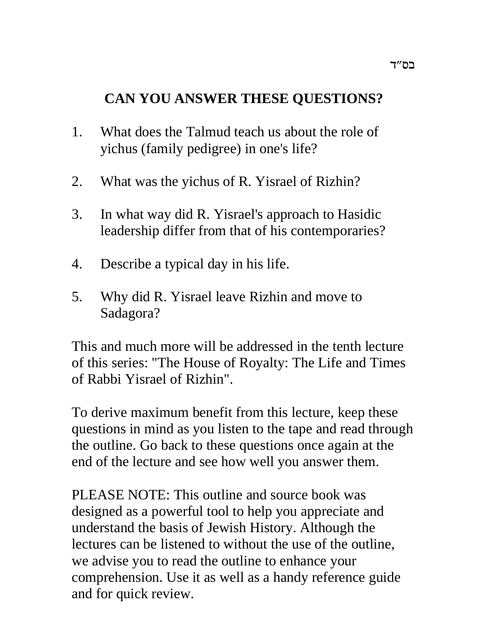# **CAN YOU ANSWER THESE QUESTIONS?**

- 1. What does the Talmud teach us about the role of yichus (family pedigree) in one's life?
- 2. What was the yichus of R. Yisrael of Rizhin?
- 3. In what way did R. Yisrael's approach to Hasidic leadership differ from that of his contemporaries?
- 4. Describe a typical day in his life.
- 5. Why did R. Yisrael leave Rizhin and move to Sadagora?

This and much more will be addressed in the tenth lecture of this series: "The House of Royalty: The Life and Times of Rabbi Yisrael of Rizhin".

To derive maximum benefit from this lecture, keep these questions in mind as you listen to the tape and read through the outline. Go back to these questions once again at the end of the lecture and see how well you answer them.

PLEASE NOTE: This outline and source book was designed as a powerful tool to help you appreciate and understand the basis of Jewish History. Although the lectures can be listened to without the use of the outline, we advise you to read the outline to enhance your comprehension. Use it as well as a handy reference guide and for quick review.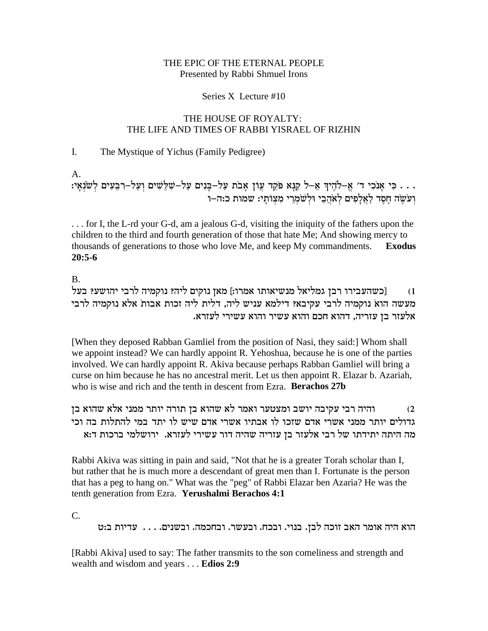#### THE EPIC OF THE ETERNAL PEOPLE Presented by Rabbi Shmuel Irons

#### Series X Lecture #10

#### THE HOUSE OF ROYALTY: THE LIFE AND TIMES OF RABBI YISRAEL OF RIZHIN

#### L. The Mystique of Yichus (Family Pedigree)

A.

. . . כִּי אָנֹכִי ד' אֱ–לֹהֶיךָ אֵ–ל קַנָּא פֹּקֵד עֲוֹן אָבֹת עַל–בָּנִים עַל–שִׁלֵּשִׁים וְעַל–רִבֵּעִים לְשֹׂנְאָי:<br>וְעֹשֶׂה הֶסֶד לַאֲלָפִים לְאֹהֲבַי וּלְשֹׁמְרֵי מִצְוֹתָי: שמות כ:ה–ו

... for I, the L-rd your G-d, am a jealous G-d, visiting the iniquity of the fathers upon the children to the third and fourth generation of those that hate Me; And showing mercy to thousands of generations to those who love Me, and keep My commandments. **Exodus**  $20:5-6$ 

 $B<sub>1</sub>$ 

[כשהעבירו רבן גמליאל מנשיאותו אמרו:] מאן נוקים ליה? נוקמיה לרבי יהושע? בעל  $(1)$ מעשה הוא נוקמיה לרבי עקיבא? דילמא עניש ליה, דלית ליה זכות אבות אלא נוקמיה לרבי אלעזר בן עזריה, דהוא חכם והוא עשיר והוא עשירי לעזרא.

[When they deposed Rabban Gamliel from the position of Nasi, they said:] Whom shall we appoint instead? We can hardly appoint R. Yehoshua, because he is one of the parties involved. We can hardly appoint R. Akiva because perhaps Rabban Gamliel will bring a curse on him because he has no ancestral merit. Let us then appoint R. Elazar b. Azariah, who is wise and rich and the tenth in descent from Ezra. Berachos 27b

והיה רבי עקיבה יושב ומצטער ואמר לא שהוא בן תורה יותר ממני אלא שהוא בן  $(2)$ גדולים יותר ממני אשרי אדם שזכו לו אבתיו אשרי אדם שיש לו יתד במי להתלות בה וכי מה היתה יתידתו של רבי אלעזר בן עזריה שהיה דור עשירי לעזרא. ירושלמי ברכות ד:א

Rabbi Akiva was sitting in pain and said, "Not that he is a greater Torah scholar than I, but rather that he is much more a descendant of great men than I. Fortunate is the person that has a peg to hang on." What was the "peg" of Rabbi Elazar ben Azaria? He was the tenth generation from Ezra. Yerushalmi Berachos 4:1

 $C_{\cdot}$ 

הוא היה אומר האב זוכה לבן. בנוי. ובכח. ובעשר. ובחכמה. ובשנים. . . . עדיות ב:ט

[Rabbi Akiva] used to say: The father transmits to the son comeliness and strength and wealth and wisdom and years . . . Edios 2:9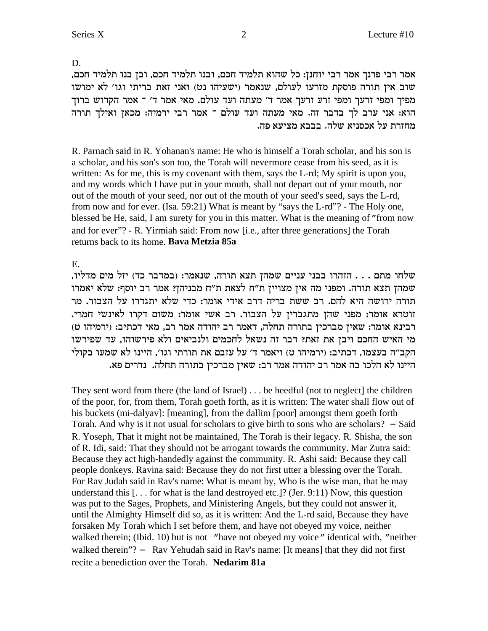D.

אמר רבי פרנך אמר רבי יוחנן: כל שהוא תלמיד חכם, ובנו תלמיד חכם, ובן בנו תלמיד חכם, שוב אין תורה פוסקת מזרעו לעולם, שנאמר (ישעיהו נט) ואני זאת בריתי וגו' לא ימושו מפיך ומפי זרעך ומפי זרע זרעך אמר ד' מעתה ועד עולם. מאי אמר ד' ־ אמר הקדוש ברוך הוא: אני ערב לך בדבר זה. מאי מעתה ועד עולם ־ אמר רבי ירמיה: מכאן ואילך תורה מחזרת על אכסניא שלה. בבבא מציעא פה.

R. Parnach said in R. Yohanan's name: He who is himself a Torah scholar, and his son is a scholar, and his son's son too, the Torah will nevermore cease from his seed, as it is written: As for me, this is my covenant with them, says the L-rd; My spirit is upon you, and my words which I have put in your mouth, shall not depart out of your mouth, nor out of the mouth of your seed, nor out of the mouth of your seed's seed, says the L-rd, from now and for ever. (Isa. 59:21) What is meant by "says the L-rd"? - The Holy one, blessed be He, said, I am surety for you in this matter. What is the meaning of "from now and for ever"? - R. Yirmiah said: From now [i.e., after three generations] the Torah returns back to its home. Bava Metzia 85a

 $E_{\perp}$ 

שלחו מתם . . . הזהרו בבני עניים שמהן תצא תורה, שנאמר: (במדבר כד) יזל מים מדליו, שמהן תצא תורה. ומפני מה אין מצויין ת"ח לצאת ת"ח מבניהן? אמר רב יוסף: שלא יאמרו תורה ירושה היא להם. רב ששת בריה דרב אידי אומר: כדי שלא יתגדרו על הצבור. מר זוטרא אומר: מפני שהן מתגברין על הצבור. רב אשי אומר: משום דקרו לאינשי חמרי. רבינא אומר: שאין מברכין בתורה תחלה, דאמר רב יהודה אמר רב, מאי דכתיב: (ירמיהו ט) מי האיש החכם ויבן את זאת? דבר זה נשאל לחכמים ולנביאים ולא פירשוהו, עד שפירשו הקב״ה בעצמו, דכתיב: (ירמיהו ט) ויאמר ד׳ על עזבם את תורתי וגו׳, היינו לא שמעו בקולי היינו לא הלכו בה אמר רב יהודה אמר רב: שאין מברכין בתורה תחלה. נדרים פא.

They sent word from there (the land of Israel)  $\ldots$  be heedful (not to neglect) the children of the poor, for, from them, Torah goeth forth, as it is written: The water shall flow out of his buckets (mi-dalyav]: [meaning], from the dallim [poor] amongst them goeth forth Torah. And why is it not usual for scholars to give birth to sons who are scholars?  $-$  Said R. Yoseph, That it might not be maintained, The Torah is their legacy. R. Shisha, the son of R. Idi, said: That they should not be arrogant towards the community. Mar Zutra said: Because they act high-handedly against the community. R. Ashi said: Because they call people donkeys. Ravina said: Because they do not first utter a blessing over the Torah. For Rav Judah said in Rav's name: What is meant by, Who is the wise man, that he may understand this  $\lceil \ldots \rceil$  for what is the land destroyed etc.]? (Jer. 9:11) Now, this question was put to the Sages, Prophets, and Ministering Angels, but they could not answer it, until the Almighty Himself did so, as it is written: And the L-rd said, Because they have forsaken My Torah which I set before them, and have not obeyed my voice, neither walked therein; (Ibid. 10) but is not "have not obeyed my voice" identical with, "neither walked therein"? - Rav Yehudah said in Rav's name: [It means] that they did not first recite a benediction over the Torah. Nedarim 81a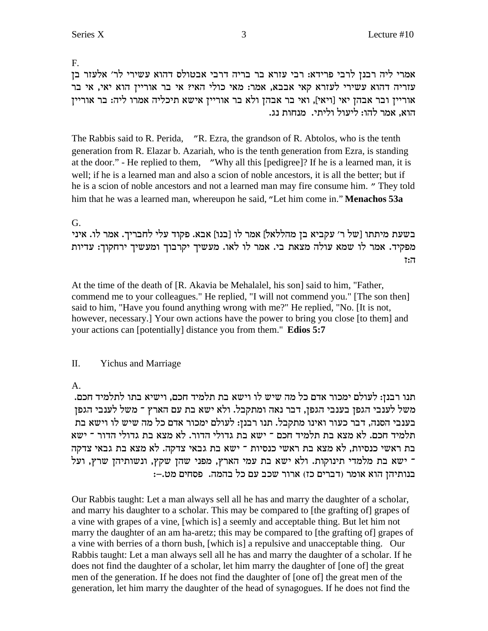F.

המרי ליה רבנן לרבי פרידא: רבי עזרא בר בריה דרבי אבטולס דהוא עשירי לר׳ אלעזר בן aאמרי ל עזריה דהוא עשירי לעזרא קאי אבבא, אמר: מאי כולי האי? אי בר אוריין הוא יאי, אי בר אוריין ובר אבהן יאי [ויאי], ואי בר אבהן ולא בר אוריין אישא תיכליה אמרו ליה: בר אוריין הוא. אמר להו: ליעול וליתי. מנחות נג.

The Rabbis said to R. Perida, "R. Ezra, the grandson of R. Abtolos, who is the tenth generation from R. Elazar b. Azariah, who is the tenth generation from Ezra, is standing at the door." - He replied to them, "Why all this [pedigree]? If he is a learned man, it is well; if he is a learned man and also a scion of noble ancestors, it is all the better; but if he is a scion of noble ancestors and not a learned man may fire consume him. " They told him that he was a learned man, whereupon he said, "Let him come in."**Menachos 53a**

# G.

בשעת מיתתו [של ר׳ עקביא בן מהללאל] אמר לו [בנו] אבא. פקוד עלי לחבריך. אמר לו. איני מפקיד. אמר לו שמא עולה מצאת בי. אמר לו לאו. מעשיך יקרבוך ומעשיך ירחקוך: עדיות f:d

At the time of the death of [R. Akavia be Mehalalel, his son] said to him, "Father, commend me to your colleagues." He replied, "I will not commend you." [The son then] said to him, "Have you found anything wrong with me?" He replied, "No. [It is not, however, necessary.] Your own actions have the power to bring you close [to them] and your actions can [potentially] distance you from them." **Edios 5:7**

# II. Yichus and Marriage

A.

. תנו רבנן: לעולם ימכור אדם כל מה שיש לו וישא בת תלמיד חכם, וישיא בתו לתלמיד חכם משל לענבי הגפן בענבי הגפן, דבר נאה ומתקבל. ולא ישא בת עם הארץ ־ משל לענבי הגפן בענבי הסנה, דבר כעור ואינו מתקבל. תנו רבנן: לעולם ימכור אדם כל מה שיש לו וישא בת תלמיד חכם. לא מצא בת תלמיד חכם ־ ישא בת גדולי הדור. לא מצא בת גדולי הדור ־ ישא בת ראשי כנסיות, לא מצא בת ראשי כנסיות <sup>-</sup> ישא בת גבאי צדקה. לא מצא בת גבאי צדקה ישא בת מלמדי תינוקות. ולא ישא בת עמי הארץ, מפני שהן שקץ, ונשותיהן שרץ, ועל :בנותיהן הוא אומר (דברים כז) ארור שכב עם כל בהמה. פסחים מט.—

Our Rabbis taught: Let a man always sell all he has and marry the daughter of a scholar, and marry his daughter to a scholar. This may be compared to [the grafting of] grapes of a vine with grapes of a vine, [which is] a seemly and acceptable thing. But let him not marry the daughter of an am ha-aretz; this may be compared to [the grafting of] grapes of a vine with berries of a thorn bush, [which is] a repulsive and unacceptable thing. Our Rabbis taught: Let a man always sell all he has and marry the daughter of a scholar. If he does not find the daughter of a scholar, let him marry the daughter of [one of] the great men of the generation. If he does not find the daughter of [one of] the great men of the generation, let him marry the daughter of the head of synagogues. If he does not find the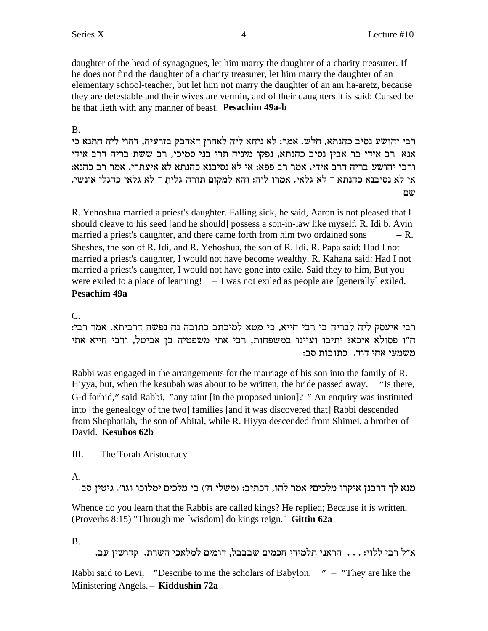daughter of the head of synagogues, let him marry the daughter of a charity treasurer. If he does not find the daughter of a charity treasurer, let him marry the daughter of an elementary school-teacher, but let him not marry the daughter of an am ha-aretz, because they are detestable and their wives are vermin, and of their daughters it is said: Cursed be he that lieth with any manner of beast. **Pesachim 49a-b**

# B.

רבי יהושע נסיב כהנתא, חלש. אמר: לא ניחא ליה לאהרן דאדבק בזרעיה, דהוי ליה חתנא כי אנא. רב אידי בר אבין נסיב כהנתא, נפקו מיניה תרי בני סמיכי, רב ששת בריה דרב אידי : ורבי יהושע בריה דרב אידי. אמר רב פפא: אי לא נסיבנא כהנתא לא איעתרי. אמר רב כהנא . אי לא נסיבנא כהנתא <sup>–</sup> לא גלאי. אמרו ליה: והא למקום תורה גלית <sup>–</sup> לא גלאי כדגלי אינשי שם

R. Yehoshua married a priest's daughter. Falling sick, he said, Aaron is not pleased that I should cleave to his seed [and he should] possess a son-in-law like myself. R. Idi b. Avin married a priest's daughter, and there came forth from him two ordained sons  $- R$ . Sheshes, the son of R. Idi, and R. Yehoshua, the son of R. Idi. R. Papa said: Had I not married a priest's daughter, I would not have become wealthy. R. Kahana said: Had I not married a priest's daughter, I would not have gone into exile. Said they to him, But you were exiled to a place of learning!  $-I$  was not exiled as people are [generally] exiled. **Pesachim 49a**

 $C_{\cdot}$ 

.<br>רבי איעסק ליה לבריה בי רבי חייא, כי מטא למיכתב כתובה נח נפשה דרביתא. אמר רבי ח"ו פסולא איכא? יתיבו ועיינו במשפחות, רבי אתי משפטיה בן אביטל, ורבי חייא אתי :משמעי אחי דוד. כתובות סב

Rabbi was engaged in the arrangements for the marriage of his son into the family of R. Hiyya, but, when the kesubah was about to be written, the bride passed away. "Is there, G-d forbid," said Rabbi, "any taint [in the proposed union]? " An enquiry was instituted into [the genealogy of the two] families [and it was discovered that] Rabbi descended from Shephatiah, the son of Abital, while R. Hiyya descended from Shimei, a brother of David. **Kesubos 62b**

III. The Torah Aristocracy

A.

.<br>מנא לך דרבנן איקרו מלכים? אמר להו, דכתיב: (משלי ח') בי מלכים ימלוכו וגו'. גיטין סב

Whence do you learn that the Rabbis are called kings? He replied; Because it is written, (Proverbs 8:15) "Through me [wisdom] do kings reign." **Gittin 62a**

B.

```
.ar ס'לוי: . . . הראני תלמידי חכמים שבבבל, דומים למלאכי השרת. קדושין עב
```
Rabbi said to Levi, "Describe to me the scholars of Babylon.  $" - "They are like the"$ Ministering Angels. - **Kiddushin 72a**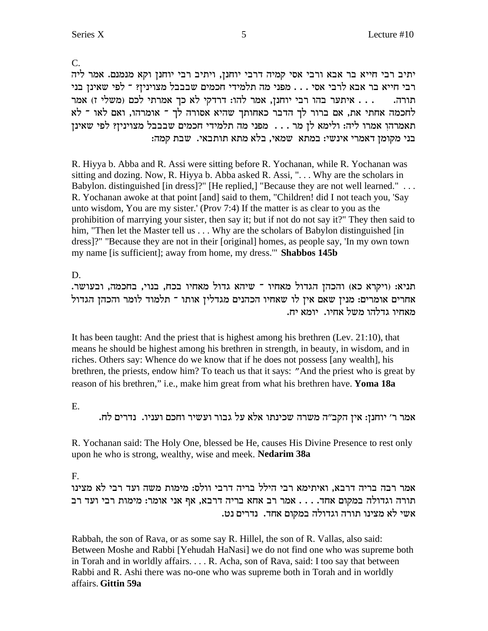C.

יתיב רבי חייא בר אבא ורבי אסי קמיה דרבי יוחנן, ויתיב רבי יוחנן וקא מנמנם. אמר ליה ובי חייא בר אבא לרבי אסי . . . מפני מה תלמידי חכמים שבבבל מצוינין? ־ לפי שאינן בני תורה.  $\dots$  איתער בהו רבי יוחנן, אמר להו: דרדקי לא כך אמרתי לכם (משלי ז) אמר לחכמה אחתי את, אם ברור לך הדבר כאחותך שהיא אסורה לך ־ אומרהו, ואם לאו ־ לא תאמרהו אמרו ליה: ולימא לן מר . . . מפני מה תלמידי חכמים שבבבל מצוינין? לפי שאינן : בני מקומן דאמרי אינשי: במתא שמאי, בלא מתא תותבאי. שבת קמה

R. Hiyya b. Abba and R. Assi were sitting before R. Yochanan, while R. Yochanan was sitting and dozing. Now, R. Hiyya b. Abba asked R. Assi, ". . . Why are the scholars in Babylon. distinguished [in dress]?" [He replied,] "Because they are not well learned." ... R. Yochanan awoke at that point [and] said to them, "Children! did I not teach you, 'Say unto wisdom, You are my sister.' (Prov 7:4) If the matter is as clear to you as the prohibition of marrying your sister, then say it; but if not do not say it?" They then said to him, "Then let the Master tell us . . . Why are the scholars of Babylon distinguished [in] dress]?" "Because they are not in their [original] homes, as people say, 'In my own town my name [is sufficient]; away from home, my dress.'" **Shabbos 145b**

D.

. תניא: (ויקרא כא) והכהן הגדול מאחיו ־ שיהא גדול מאחיו בכח, בנוי, בחכמה, ובעושר החרים אומרים: מנין שאם אין לו שאחיו הכהנים מגדלין אותו ־ תלמוד לומר והכהן הגדול .מאחיו גדלהו משל אחיו. יומא יח

It has been taught: And the priest that is highest among his brethren (Lev. 21:10), that means he should be highest among his brethren in strength, in beauty, in wisdom, and in riches. Others say: Whence do we know that if he does not possess [any wealth], his brethren, the priests, endow him? To teach us that it says: "And the priest who is great by reason of his brethren," i.e., make him great from what his brethren have. **Yoma 18a**

E.

.<br>אמר ר׳ יוחנן: אין הקב״ה משרה שכינתו אלא על גבור ועשיר וחכם ועניו. נדרים לח

R. Yochanan said: The Holy One, blessed be He, causes His Divine Presence to rest only upon he who is strong, wealthy, wise and meek. **Nedarim 38a**

F.

אמר רבה בריה דרבא, ואיתימא רבי הילל בריה דרבי וולס: מימות משה ועד רבי לא מצינו תורה וגדולה במקום אחד. . . . אמר רב אחא בריה דרבא, אף אני אומר: מימות רבי ועד רב .<br>אשי לא מצינו תורה וגדולה במקום אחד. נדרים נט

Rabbah, the son of Rava, or as some say R. Hillel, the son of R. Vallas, also said: Between Moshe and Rabbi [Yehudah HaNasi] we do not find one who was supreme both in Torah and in worldly affairs. . . . R. Acha, son of Rava, said: I too say that between Rabbi and R. Ashi there was no-one who was supreme both in Torah and in worldly affairs. **Gittin 59a**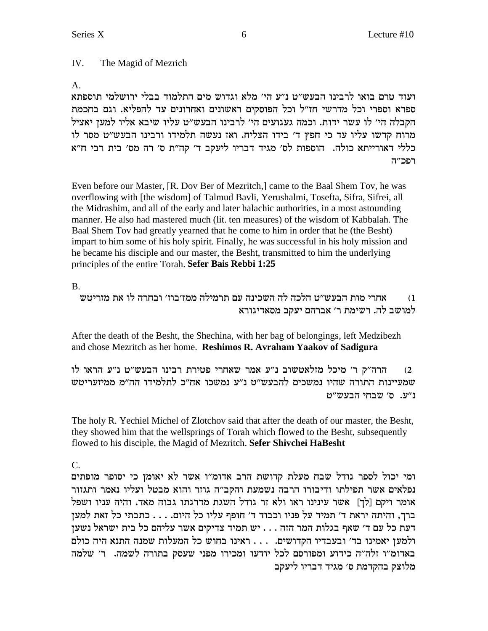#### IV. The Magid of Mezrich

 $A_{1}$ 

ועוד טרם בואו לרבינו הבעש"ט נ"ע הי' מלא וגדוש מים התלמוד בבלי ירושלמי תוספתא ספרא וספרי וכל מדרשי חז"ל וכל הפוסקים ראשונים ואחרונים עד להפליא. וגם בחכמת הקבלה הי' לו עשר ידות. וכמה געגועים הי' לרבינו הבעש"ט עליו שיבא אליו למען יאציל מרוח קדשו עליו עד כי חפץ ד' בידו הצליח. ואז נעשה תלמידו ורבינו הבעש"ט מסר לו כללי דאורייתא כולה. הוספות לס׳ מגיד דבריו ליעקב ד׳ קה״ת ס׳ רה מס׳ בית רבי ח״א רפכ״ה

Even before our Master, [R. Dov Ber of Mezritch,] came to the Baal Shem Tov, he was overflowing with [the wisdom] of Talmud Bavli, Yerushalmi, Tosefta, Sifra, Sifrei, all the Midrashim, and all of the early and later halachic authorities, in a most astounding manner. He also had mastered much (lit. ten measures) of the wisdom of Kabbalah. The Baal Shem Tov had greatly yearned that he come to him in order that he (the Besht) impart to him some of his holy spirit. Finally, he was successful in his holy mission and he became his disciple and our master, the Besht, transmitted to him the underlying principles of the entire Torah. Sefer Bais Rebbi 1:25

**B.** 

אחרי מות הבעש״ט הלכה לה השכינה עם תרמילה ממז׳בוז׳ ובחרה לו את מזריטש  $(1)$ למושב לה. רשימת ר' אברהם יעקב מסאדיגורא

After the death of the Besht, the Shechina, with her bag of belongings, left Medzibezh and chose Mezritch as her home. Reshimos R. Avraham Yaakov of Sadigura

הרה"ק ר' מיכל מזלאטשוב נ"ע אמר שאחרי פטירת רבינו הבעש"ט נ"ע הראו לו  $(2)$ שמעיינות התורה שהיו נמשכים להבעש״ט נ״ע נמשכו אח״כ לתלמידו הה״מ ממיזעריטש נ"ע. ס' שבחי הבעש"ט

The holy R. Yechiel Michel of Zlotchov said that after the death of our master, the Besht, they showed him that the wellsprings of Torah which flowed to the Besht, subsequently flowed to his disciple, the Magid of Mezritch. Sefer Shivchei HaBesht

 $C_{\cdot}$ 

ומי יכול לספר גודל שבח מעלת קדושת הרב אדומ"ו אשר לא יאומן כי יסופר מופתים נפלאים אשר תפילתו ודיבורו הרבה נשמעת והקב"ה גוזר והוא מבטל ועליו נאמר ותגזור אומר ויקם [לך] אשר עינינו ראו ולא זר גודל השגת מדרגתו גבוה מאד. והיה עניו ושפל ברך, והיתה יראת ד' תמיד על פניו וכבוד ד' חופף עליו כל היום. . . . כתבתי כל זאת למען דעת כל עם ד' שאף בגלות המר הזה . . . יש תמיד צדיקים אשר עליהם כל בית ישראל נשען ולמען יאמינו בד' ובעבדיו הקדושים. . . . ראינו בחוש כל המעלות שמנה התנא היה כולם באדומ"ו זלה"ה כידוע ומפורסם לכל יודעו ומכירו מפני שעסק בתורה לשמה. ב' שלמה מלוצק בהקדמת ס׳ מגיד דבריו ליעקב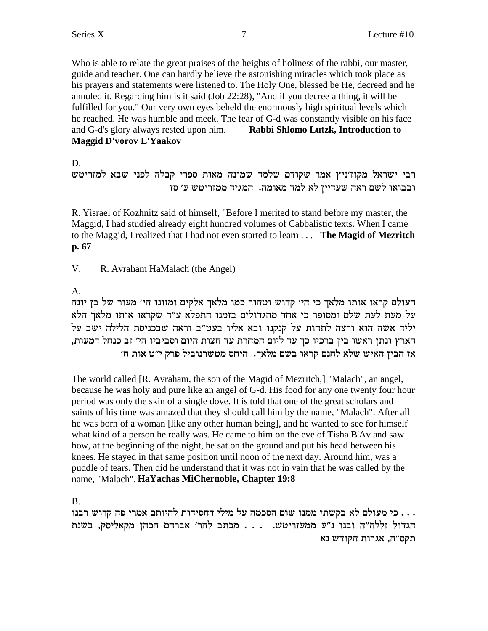Who is able to relate the great praises of the heights of holiness of the rabbi, our master, guide and teacher. One can hardly believe the astonishing miracles which took place as his prayers and statements were listened to. The Holy One, blessed be He, decreed and he annuled it. Regarding him is it said (Job 22:28), "And if you decree a thing, it will be fulfilled for you." Our very own eyes beheld the enormously high spiritual levels which he reached. He was humble and meek. The fear of G-d was constantly visible on his face and G-d's glory always rested upon him. Rabbi Shlomo Lutzk, Introduction to Maggid D'vorov L'Yaakov

D.

רבי ישראל מקוז'ניץ אמר שקודם שלמד שמונה מאות ספרי קבלה לפני שבא למזריטש ובבואו לשם ראה שעדיין לא למד מאומה. המגיד ממזריטש ע׳ סז

R. Yisrael of Kozhnitz said of himself, "Before I merited to stand before my master, the Maggid, I had studied already eight hundred volumes of Cabbalistic texts. When I came to the Maggid, I realized that I had not even started to learn . . . The Magid of Mezritch p. 67

 $V_{\cdot}$ R. Avraham HaMalach (the Angel)

 $A_{1}$ 

העולם קראו אותו מלאך כי הי' קדוש וטהור כמו מלאך אלקים ומזונו הי' מעור של בז יונה על מעת לעת שלם ומסופר כי אחד מהגדולים בזמנו התפלא ע״ד שקראו אותו מלאך הלא יליד אשה הוא ורצה לתהות על קנקנו ובא אליו בעט"ב וראה שבכניסת הלילה ישב על הארץ ונתן ראשו בין ברכיו כך עד ליום המחרת עד חצות היום וסביביו הי׳ זב כנחל דמעות, אז הבין האיש שלא לחנם קראו בשם מלאך. היחס מטשרנוביל פרק י"ט אות ח'

The world called [R. Avraham, the son of the Magid of Mezritch,] "Malach", an angel, because he was holy and pure like an angel of G-d. His food for any one twenty four hour period was only the skin of a single dove. It is told that one of the great scholars and saints of his time was amazed that they should call him by the name, "Malach". After all he was born of a woman [like any other human being], and he wanted to see for himself what kind of a person he really was. He came to him on the eve of Tisha B'Ay and saw how, at the beginning of the night, he sat on the ground and put his head between his knees. He stayed in that same position until noon of the next day. Around him, was a puddle of tears. Then did he understand that it was not in vain that he was called by the name, "Malach". HaYachas MiChernoble, Chapter 19:8

 $B<sub>1</sub>$ 

בי מעולם לא בקשתי ממנו שום הסכמה על מילי דחסידות להיותם אמרי פה קדוש רבנו . . . . הגדול זללה"ה ובנו נ"ע ממעזריטש. ... מכתב להר' אברהם הכהן מקאליסק, בשנת תקס״ה, אגרות הקודש נא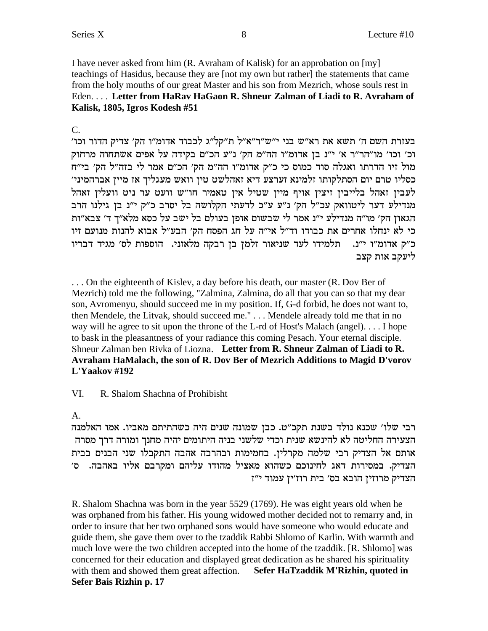I have never asked from him (R. Avraham of Kalisk) for an approbation on  $[my]$ teachings of Hasidus, because they are [not my own but rather] the statements that came from the holy mouths of our great Master and his son from Mezrich, whose souls rest in Eden.... Letter from HaRav HaGaon R. Shneur Zalman of Liadi to R. Avraham of Kalisk, 1805, Igros Kodesh #51

#### $C_{\cdot}$

בעזרת השם ה' תשא את רא"ש בני י"ש"ר"א"ל ת"קל"ג לכבוד אדומ"ו הק' צדיק הדור וכו' וכ' וכו' מו"הר"ר א' י"נ בן אדומ"ו הה"מ הק' נ"ע הכ"ם בקידה על אפים אשתחוה מרחוק .<br>מול זיו הדרתו ואגלה סוד כמוס כי כ"ק אדומ"ו הה"מ הק' הכ"ם אמר לי בזה"ל הק' בי"ח כסליו טרם יום הסתלקותו זלמינא זערצע דיא זאהלשט טין וואש מעגליך אז מיין אברהמיני׳ לעבין זאהל בלייבין זיצין אויף מיין שטיל אין טאמיר חו"ש וועט ער ניט וועלין זאהל מנדילע דער ליטוואק עכ"ל הק׳ נ"ע ע"כ לדעתי הקלושה בל יסרב כ"ק י"נ בן גילנו הרב הגאון הק' מו"ה מנדילע י"נ אמר לי שבשום אופן בעולם בל ישב על כסא מלא"ך ד' צבא"ות כי לא ינחלו אחרים את כבודו וד"ל אי"ה על חג הפסח הק' הבע"ל אבוא להנות מנועם זיו כ"ק אדומ"ו י"נ. תלמידו לעד שניאור זלמן בן רבקה מלאזני. הוספות לס' מגיד דבריו ליעקב אות קצב

... On the eighteenth of Kisley, a day before his death, our master (R. Dov Ber of Mezrich) told me the following, "Zalmina, Zalmina, do all that you can so that my dear son, Avromenyu, should succeed me in my position. If, G-d forbid, he does not want to, then Mendele, the Litvak, should succeed me." . . . Mendele already told me that in no way will he agree to sit upon the throne of the L-rd of Host's Malach (angel).... I hope to bask in the pleasantness of your radiance this coming Pesach. Your eternal disciple. Shneur Zalman ben Rivka of Liozna. Letter from R. Shneur Zalman of Liadi to R. Avraham HaMalach, the son of R. Dov Ber of Mezrich Additions to Magid D'vorov L'Yaakov #192

#### VI. R. Shalom Shachna of Prohibisht

### A.

רבי שלו׳ שכנא נולד בשנת תקכ״ט. כבן שמונה שנים היה כשהתיתם מאביו. אמו האלמנה הצעירה החליטה לא להינשא שנית וכדי שלשני בניה היתומים יהיה מחנך ומורה דרך מסרה אותם אל הצדיק רבי שלמה מקרלין. בחמימות ובהרבה אהבה התקבלו שני הבנים בבית הצדיק. במסירות דאג לחינוכם כשהוא מאציל מהודו עליהם ומקרבם אליו באהבה. ס׳ הצדיק מרוזין הובא בס׳ בית רוז׳ין עמוד י״ז

R. Shalom Shachna was born in the year 5529 (1769). He was eight years old when he was orphaned from his father. His young widowed mother decided not to remarry and, in order to insure that her two orphaned sons would have someone who would educate and guide them, she gave them over to the tzaddik Rabbi Shlomo of Karlin. With warmth and much love were the two children accepted into the home of the tzaddik. [R. Shlomo] was concerned for their education and displayed great dedication as he shared his spirituality with them and showed them great affection. Sefer HaTzaddik M'Rizhin, quoted in Sefer Bais Rizhin p. 17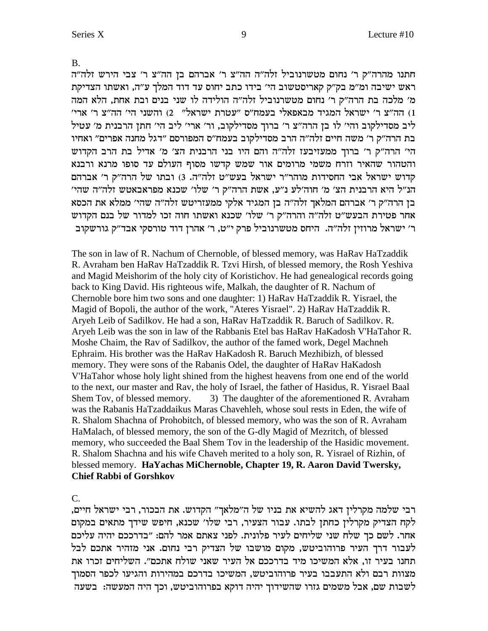**B.** 

חתנו מהרה"ק ר' נחום מטשרנוביל זלה"ה הה"צ ר' אברהם בן הה"צ ר' צבי הירש זלה"ה ראש ישיבה ומ"מ בק"ק קאריסטשוב הי' בידו כתב יחוס עד דוד המלך ע"ה, ואשתו הצדיקת מ׳ מלכה בת הרה״ק ר׳ נחום מטשרנוביל זלה״ה הולידה לו שני בנים ובת אחת, הלא המה ו) הה"צ ר' ישראל המגיד מבאפאלי בעמח"ס "עטרת ישראל" 2) והשני הי' הה"צ ר' ארי" ליב מסדילקוב והי׳ לו בן הרה"צ ר׳ ברוך מסדילקוב, ור׳ ארי׳ ליב הי׳ חתן הרבנית מ׳ עטיל בת הרה״ק ר׳ משה חיים זלה״ה הרב מסדילקוב בעמח״ס המפורסם ״דגל מחנה אפרים״ ואחיו הי' הרה"ק ר' ברוך ממעזיבעז זלה"ה והם היו בני הרבנית הצ' מ' אדיל בת הרב הקדוש והטהור שהאיר וזרח משמי מרומים אור שמש קדשו מסוף העולם עד סופו מרנא ורבנא קדוש ישראל אבי החסידות מוהר"ר ישראל בעש"ט זלה"ה. 3) ובתו של הרה"ק ר' אברהם הנ״ל היא הרבנית הצ׳ מ׳ חוה׳לע נ״ע, אשת הרה״ק ר׳ שלו׳ שכנא מפראבאטש זלה״ה שהי׳ בן הרה"ק ר' אברהם המלאך זלה"ה בן המגיד אלקי ממעזריטש זלה"ה שהי' ממלא את הכסא אחר פטירת הבעש״ט זלה״ה והרה״ק ר׳ שלו׳ שכנא ואשתו חוה זכו למדור של בנם הקדוש ר' ישראל מרוזין זלה"ה. היחס מטשרנוביל פרק י"ט, ר' אהרן דוד טורסקי אבד"ק גורשקוב

The son in law of R. Nachum of Chernoble, of blessed memory, was HaRav HaTzaddik R. Avraham ben HaRav HaTzaddik R. Tzvi Hirsh, of blessed memory, the Rosh Yeshiva and Magid Meishorim of the holy city of Koristichov. He had genealogical records going back to King David. His righteous wife, Malkah, the daughter of R. Nachum of Chernoble bore him two sons and one daughter: 1) HaRav HaTzaddik R. Yisrael, the Magid of Bopoli, the author of the work, "Ateres Yisrael". 2) HaRav HaTzaddik R. Aryeh Leib of Sadilkov. He had a son, HaRav HaTzaddik R. Baruch of Sadilkov. R. Aryeh Leib was the son in law of the Rabbanis Etel bas HaRav HaKadosh V'HaTahor R. Moshe Chaim, the Rav of Sadilkov, the author of the famed work, Degel Machneh Ephraim. His brother was the HaRav HaKadosh R. Baruch Mezhibizh, of blessed memory. They were sons of the Rabanis Odel, the daughter of HaRay HaKadosh V'HaTahor whose holy light shined from the highest heavens from one end of the world to the next, our master and Rav, the holy of Israel, the father of Hasidus, R. Yisrael Baal 3) The daughter of the aforementioned R. Avraham Shem Tov, of blessed memory. was the Rabanis HaTzaddaikus Maras Chavehleh, whose soul rests in Eden, the wife of R. Shalom Shachna of Prohobitch, of blessed memory, who was the son of R. Avraham HaMalach, of blessed memory, the son of the G-dly Magid of Mezritch, of blessed memory, who succeeded the Baal Shem Tov in the leadership of the Hasidic movement. R. Shalom Shachna and his wife Chaveh merited to a holy son, R. Yisrael of Rizhin, of blessed memory. HaYachas MiChernoble, Chapter 19, R. Aaron David Twersky, **Chief Rabbi of Gorshkov** 

 $\mathcal{C}$ .

רבי שלמה מקרלין דאג להשיא את בניו של ה"מלאך" הקדוש. את הבכור, רבי ישראל חיים, לקח הצדיק מקרלין כחתן לבתו. עבור הצעיר, רבי שלו׳ שכנא, חיפש שידך מתאים במקום אחר. לשם כך שלח שני שליחים לעיר פלונית. לפני צאתם אמר להם: "בדרככם יהיה עליכם לעבור דרך העיר פרוהוביטש, מקום מושבו של הצדיק רבי נחום. אני מזהיר אתכם לבל תחנו בעיר זו, אלא המשיכו מיד בדרככם אל העיר שאני שולח אתכם". השליחים זכרו את מצוות רבם ולא התעבבו בעיר פרוהוביטש, המשיכו בדרכם במהירות והגיעו לכפר הסמוך לשבות שם, אבל משמים גזרו שהשידוך יהיה דוקא בפרוהוביטש, וכך היה המעשה: בשעה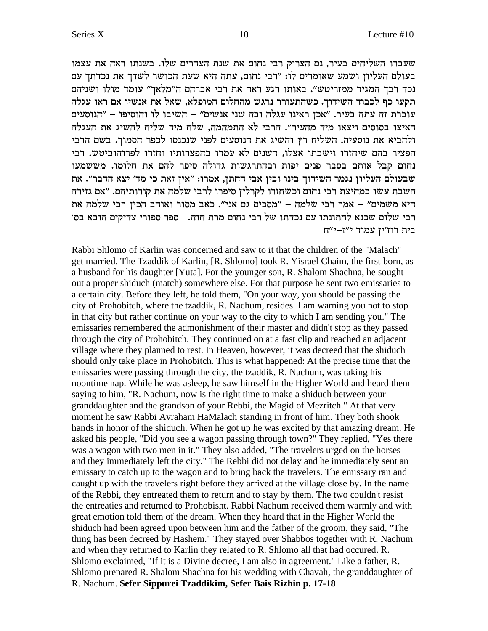שעברו השליחים בעיר, נם הצריק רבי נחום את שנת הצהרים שלו. בשנתו ראה את עצמו בעולם העליון ושמע שאומרים לו: "רבי נחום, עתה היא שעת הכושר לשדך את נכדתך עם נכד רבך המגיד ממזריטש". באותו רגע ראה את רבי אברהם ה"מלאך" עומד מולו ושניהם תקעו כף לכבוד השידוך. כשהתעורר נרגש מהחלום המופלא, שאל את אנשיו אם ראו עגלה יהנוסעים - "אבן שני אנשים" – השיבו לו ההוסיפו העוסעים - שני אנשים והוסיפו – הנוסעים האיצו בסוסים ויצאו מיד מהעיר". הרבי לא התמהמה, שלח מיד שליח להשיג את העגלה ולהביא את נוסעיה. השליח רץ והשיג את הנוסעים לפני שנכנסו לכפר הסמוך. בשם הרבי הפציר בהם שיחזרו וישבתו אצלו, השנים לא עמדו בהפצרותיו וחזרו לפרוהוביטש. רבי נחום קבל אותם בסבר פנים יפות ובהתרגשות גדולה סיפר להם את חלומו. מששמעו שבעולם העליון נגמר השידוך בינו ובין אבי החתן, אמרו: "אין זאת כי מד' יצא הדבר". את השבת עשו במחיצת רבי נחום וכשחזרו לקרלין סיפרו לרבי שלמה את קורותיהם. "אם גזירה היא משמים" – אמר רבי שלמה – "מסכים גם אני". כאב מסור ואוהב הכין רבי שלמה את רבי שלום שכנא לחתונתו עם נכדתו של רבי נחום מרת חוה. - ספר ספורי צדיקים הובא בס׳ בית רוז'ין עמוד י"ז-י"ח

Rabbi Shlomo of Karlin was concerned and saw to it that the children of the "Malach" get married. The Tzaddik of Karlin, [R. Shlomo] took R. Yisrael Chaim, the first born, as a husband for his daughter [Yuta]. For the younger son, R. Shalom Shachna, he sought out a proper shiduch (match) somewhere else. For that purpose he sent two emissaries to a certain city. Before they left, he told them, "On your way, you should be passing the city of Prohobitch, where the tzaddik, R. Nachum, resides. I am warning you not to stop in that city but rather continue on your way to the city to which I am sending you." The emissaries remembered the admonishment of their master and didn't stop as they passed through the city of Prohobitch. They continued on at a fast clip and reached an adjacent village where they planned to rest. In Heaven, however, it was decreed that the shiduch should only take place in Prohobitch. This is what happened: At the precise time that the emissaries were passing through the city, the tzaddik, R. Nachum, was taking his noontime nap. While he was asleep, he saw himself in the Higher World and heard them saying to him, "R. Nachum, now is the right time to make a shiduch between your granddaughter and the grandson of your Rebbi, the Magid of Mezritch." At that very moment he saw Rabbi Avraham HaMalach standing in front of him. They both shook hands in honor of the shiduch. When he got up he was excited by that amazing dream. He asked his people, "Did you see a wagon passing through town?" They replied, "Yes there was a wagon with two men in it." They also added, "The travelers urged on the horses and they immediately left the city." The Rebbi did not delay and he immediately sent an emissary to catch up to the wagon and to bring back the travelers. The emissary ran and caught up with the travelers right before they arrived at the village close by. In the name of the Rebbi, they entreated them to return and to stay by them. The two couldn't resist the entreaties and returned to Prohobisht. Rabbi Nachum received them warmly and with great emotion told them of the dream. When they heard that in the Higher World the shiduch had been agreed upon between him and the father of the groom, they said, "The thing has been decreed by Hashem." They stayed over Shabbos together with R. Nachum and when they returned to Karlin they related to R. Shlomo all that had occurred. R. Shlomo exclaimed, "If it is a Divine decree, I am also in agreement." Like a father, R. Shlomo prepared R. Shalom Shachna for his wedding with Chavah, the granddaughter of R. Nachum. Sefer Sippurei Tzaddikim, Sefer Bais Rizhin p. 17-18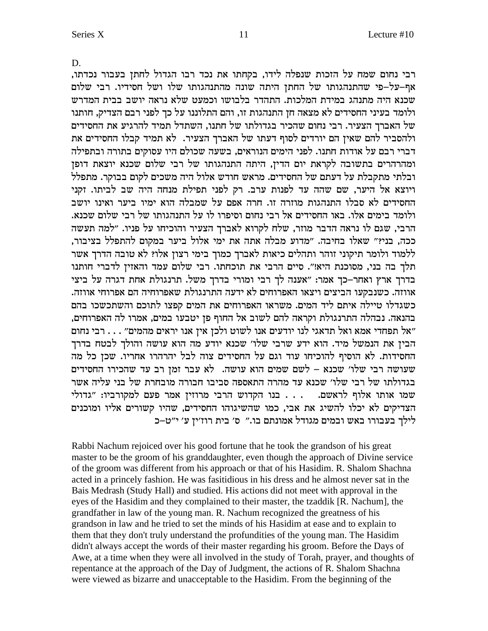D.

Series X

רבי נחום שמח על הזכות שנפלה לידו, בקחתו את נכד רבו הגדול לחתן בעבור נכדתו, אף–על–פי שהתנהגותו של החתן היתה שונה מהתנהגותו שלו ושל חסידיו. רבי שלום שכנא היה מתנהג במידת המלכות. התהדר בלבושו וכמעט שלא נראה יושב בבית המדרש ולומד בעיני החסידים לא מצאה חן התנהגות זו, והם התלוננו על כך לפני רבם הצדיק, חותנו של האברך הצעיר. רבי נחום שהכיר בגדולתו של חתנו, השתדל תמיד להרגיע את החסידים ולהסביר להם שאין הם יורדים לסוף דעתו של האברך הצעיר. לא תמיד קבלו החסידים את דברי רבם על אודות חתנו. לפני הימים הנוראים, בשעה שכולם היו עסוקים בתורה ובתפילה ומהרהרים בתשובה לקראת יום הדין, היתה התנהגותו של רבי שלום שכנא יוצאת דופן ובלתי מתקבלת על דעתם של החסידים. מראש חודש אלול היה משכים לקום בבוקר. מתפלל ויוצא אל היער, שם שהה עד לפנות ערב. רק לפני תפילת מנחה היה שב לביתו. זקני החסידים לא סבלו התנהגות מוזרה זו. חרה אפם על שמבלה הוא ימיו ביער ואינו יושב ולומד בימים אלו. באו החסידים אל רבי נחום וסיפרו לו על התנהגותו של רבי שלום שכנא. הרבי, שגם לו נראה הדבר מוזר, שלח לקרוא לאברך הצעיר והוכיחו על פניו. "למה תעשה ככה, בני?" שאלו בחיבה. "מדוע מבלה אתה את ימי אלול ביער במקום להתפלל בציבור, ללמוד ולומר תיקוני זוהר ותהלים כיאות לאברך כמוך בימי רצון אלו? לא טובה הדרך אשר תלך בה בני, מסוכנת היא!". סיים הרבי את תוכחתו. רבי שלום עמד והאזין לדברי חותנו בדרך ארץ ואחר–כך אמר: "אענה לך רבי ומורי בדרך משל. תרנגולת אחת דגרה על ביצי אווזה. כשנבקעו הביצים ויצאו האפרוחים לא ידעה התרנגולת שאפרוחיה הם אפרוחי אווזה. כשגדלו טיילה איתם ליד המים. משראו האפרוחים את המים קפצו לתוכם והשתכשכו בהם בהנאה. נבהלה התרנגולת וקראה להם לשוב אל החוף פן יטבעו במים, אמרו לה האפרוחים, "אל תפחדי אמא ואל תדאגי לנו יודעים אנו לשוט ולכן אין אנו יראים מהמים" . . . רבי נחום הבין את הנמשל מיד. הוא ידע שרבי שלו׳ שכנא יודע מה הוא עושה והולך לבטח בדרך החסידות. לא הוסיף להוכיחו עוד וגם על החסידים צוה לבל יהרהרו אחריו. שכן כל מה שעושה רבי שלו' שכנא – לשם שמים הוא עושה. לא עבר זמן רב עד שהכירו החסידים בגדולתו של רבי שלו׳ שכנא עד מהרה התאספה סביבו חבורה מובחרת של בני עליה אשר שמו אותו אלוף לראשם. . . . בנו הקדוש הרבי מרוזין אמר פעם למקורביו: "גדולי הצדיקים לא יכלו להשיג את אבי, כמו שהשיגוהו החסידים, שהיו קשורים אליו ומוכנים לילך בעבורו באש ובמים מגודל אמונתם בו." ס' בית רוז'ין ע' י"ט-כ

Rabbi Nachum rejoiced over his good fortune that he took the grandson of his great master to be the groom of his granddaughter, even though the approach of Divine service of the groom was different from his approach or that of his Hasidim. R. Shalom Shachna acted in a princely fashion. He was fasitidious in his dress and he almost never sat in the Bais Medrash (Study Hall) and studied. His actions did not meet with approval in the eyes of the Hasidim and they complained to their master, the tzaddik [R. Nachum], the grandfather in law of the young man. R. Nachum recognized the greatness of his grandson in law and he tried to set the minds of his Hasidim at ease and to explain to them that they don't truly understand the profundities of the young man. The Hasidim didn't always accept the words of their master regarding his groom. Before the Days of Awe, at a time when they were all involved in the study of Torah, prayer, and thoughts of repentance at the approach of the Day of Judgment, the actions of R. Shalom Shachna were viewed as bizarre and unacceptable to the Hasidim. From the beginning of the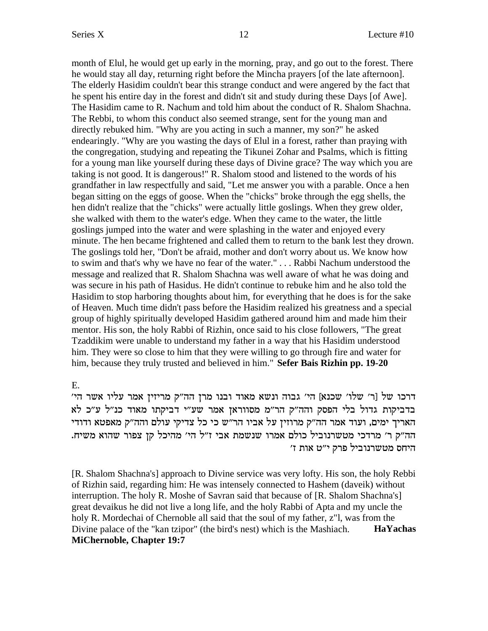month of Elul, he would get up early in the morning, pray, and go out to the forest. There he would stay all day, returning right before the Mincha prayers [of the late afternoon]. The elderly Hasidim couldn't bear this strange conduct and were angered by the fact that he spent his entire day in the forest and didn't sit and study during these Days [of Awe]. The Hasidim came to R. Nachum and told him about the conduct of R. Shalom Shachna. The Rebbi, to whom this conduct also seemed strange, sent for the young man and directly rebuked him. "Why are you acting in such a manner, my son?" he asked endearingly. "Why are you wasting the days of Elul in a forest, rather than praying with the congregation, studying and repeating the Tikunei Zohar and Psalms, which is fitting for a young man like yourself during these days of Divine grace? The way which you are taking is not good. It is dangerous!" R. Shalom stood and listened to the words of his grandfather in law respectfully and said, "Let me answer you with a parable. Once a hen began sitting on the eggs of goose. When the "chicks" broke through the egg shells, the hen didn't realize that the "chicks" were actually little goslings. When they grew older, she walked with them to the water's edge. When they came to the water, the little goslings jumped into the water and were splashing in the water and enjoyed every minute. The hen became frightened and called them to return to the bank lest they drown. The goslings told her, "Don't be afraid, mother and don't worry about us. We know how to swim and that's why we have no fear of the water." . . . Rabbi Nachum understood the message and realized that R. Shalom Shachna was well aware of what he was doing and was secure in his path of Hasidus. He didn't continue to rebuke him and he also told the Hasidim to stop harboring thoughts about him, for everything that he does is for the sake of Heaven. Much time didn't pass before the Hasidim realized his greatness and a special group of highly spiritually developed Hasidim gathered around him and made him their mentor. His son, the holy Rabbi of Rizhin, once said to his close followers, "The great Tzaddikim were unable to understand my father in a way that his Hasidim understood him. They were so close to him that they were willing to go through fire and water for him, because they truly trusted and believed in him." **Sefer Bais Rizhin pp. 19-20**

E.

' דרכו של [ר' שלו' שכנא] הי' גבוה ונשא מאוד ובנו מרן הה"ק מריזין אמר עליו אשר הי בדביקות גדול בלי הפסק והה"ק הר"מ מסווראן אמר שע"י דביקתו מאוד כנ"ל ע"כ לא האריך ימים, ועוד אמר הה"ק מרוזין על אביו הר"ש כי כל צדיקי עולם והה"ק מאפטא ודודי .<br>הה"ק ר' מרדכי מטשרנוביל כולם אמרו שנשמת אבי ז"ל הי' מהיכל קן צפור שהוא משיח. 'היחס מטשרנוביל פרק י"ט אות ז

[R. Shalom Shachna's] approach to Divine service was very lofty. His son, the holy Rebbi of Rizhin said, regarding him: He was intensely connected to Hashem (daveik) without interruption. The holy R. Moshe of Savran said that because of [R. Shalom Shachna's] great devaikus he did not live a long life, and the holy Rabbi of Apta and my uncle the holy R. Mordechai of Chernoble all said that the soul of my father, z"l, was from the Divine palace of the "kan tzipor" (the bird's nest) which is the Mashiach. **HaYachas MiChernoble, Chapter 19:7**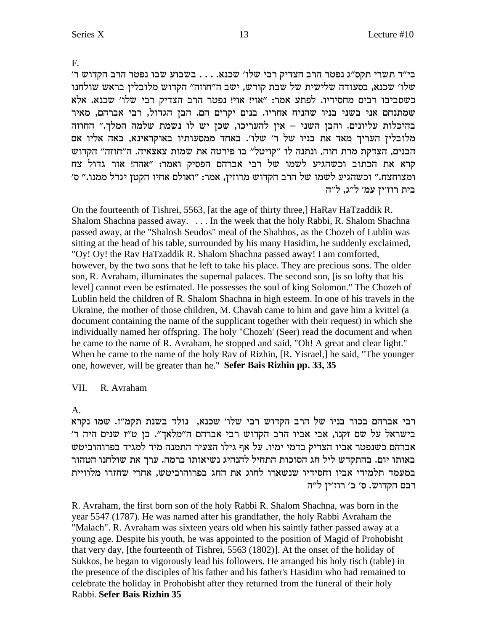F.

'בי״ד תשרי תקס״ג נפטר הרב הצדיק רבי שלו׳ שכנא. . . . בשבוע שבו נפטר הרב הקדוש ר שלו׳ שכנא, בסעודה שלישית של שבת קודש, ישב ה״חוזה״ הקדוש מלובלין בראש שולחנו כשסביבו רבים מחסידיו. לפתע אמר: "אוי! אוי! נפטר הרב הצדיק רבי שלו' שכנא. אלא שמתנחם אני בשני בניו שהניח אחריו. בנים יקרים הם. הבן הגדול, רבי אברהם, מאיר בהיכלות עליונים. והבן השני – אין להעריכו, שכן יש לו נשמת שלמה המלך." החוזה מלובלין העריך מאד את בניו של ר' שלו'. באחד ממסעותיו באוקראינא, באה אליו אם הבנים, הצדקת מרת חוה, ונתנה לו "קויטל" בו פירטה את שמות צאצאיה. ה"חוזה" הקדוש קרא את הכתוב וכשהגיע לשמו של רבי אברהם הפסיק ואמר: "אהה! אור גדול צח 'ומצוחצח." וכשהגיע לשמו של הרב הקדוש מרוזין, אמר: "ואולם אחיו הקטן יגדל ממנו." ס בית רוז׳יז עמ׳ ל״ג. ל״ה

On the fourteenth of Tishrei, 5563, [at the age of thirty three,] HaRav HaTzaddik R. Shalom Shachna passed away. . . . In the week that the holy Rabbi, R. Shalom Shachna passed away, at the "Shalosh Seudos" meal of the Shabbos, as the Chozeh of Lublin was sitting at the head of his table, surrounded by his many Hasidim, he suddenly exclaimed, "Oy! Oy! the Rav HaTzaddik R. Shalom Shachna passed away! I am comforted, however, by the two sons that he left to take his place. They are precious sons. The older son, R. Avraham, illuminates the supernal palaces. The second son, [is so lofty that his level] cannot even be estimated. He possesses the soul of king Solomon." The Chozeh of Lublin held the children of R. Shalom Shachna in high esteem. In one of his travels in the Ukraine, the mother of those children, M. Chavah came to him and gave him a kvittel (a document containing the name of the supplicant together with their request) in which she individually named her offspring. The holy "Chozeh' (Seer) read the document and when he came to the name of R. Avraham, he stopped and said, "Oh! A great and clear light." When he came to the name of the holy Rav of Rizhin, [R. Yisrael,] he said, "The younger one, however, will be greater than he." **Sefer Bais Rizhin pp. 33, 35**

#### VII. R. Avraham

A.

רבי אברהם בכור בניו של הרב הקדוש רבי שלו׳ שכנא, נולד בשנת תקמ"ז. שמו נקרא 'בישראל על שם זקנו, אבי אביו הרב הקדוש רבי אברהם ה״מלאך״. בן ט״ז שנים היה ר אברהם כשנפטר אביו הצדיק בדמי ימיו. על אף גילו הצעיר התמנה מיד למגיד בפרוהוביטש באותו יום. בהתקדש ליל חג הסוכות התחיל להנהיג נשיאותו ברמה. ערך את שולחנו הטהור במעמד תלמידי אביו וחסידיו שנשארו לחוג את החג בפרוהוביטש, אחרי שחזרו מלוויית רבם הקדוש. ס' ב' רוז'ין ל"ה

R. Avraham, the first born son of the holy Rabbi R. Shalom Shachna, was born in the year 5547 (1787). He was named after his grandfather, the holy Rabbi Avraham the "Malach". R. Avraham was sixteen years old when his saintly father passed away at a young age. Despite his youth, he was appointed to the position of Magid of Prohobisht that very day, [the fourteenth of Tishrei, 5563 (1802)]. At the onset of the holiday of Sukkos, he began to vigorously lead his followers. He arranged his holy tisch (table) in the presence of the disciples of his father and his father's Hasidim who had remained to celebrate the holiday in Prohobisht after they returned from the funeral of their holy Rabbi. **Sefer Bais Rizhin 35**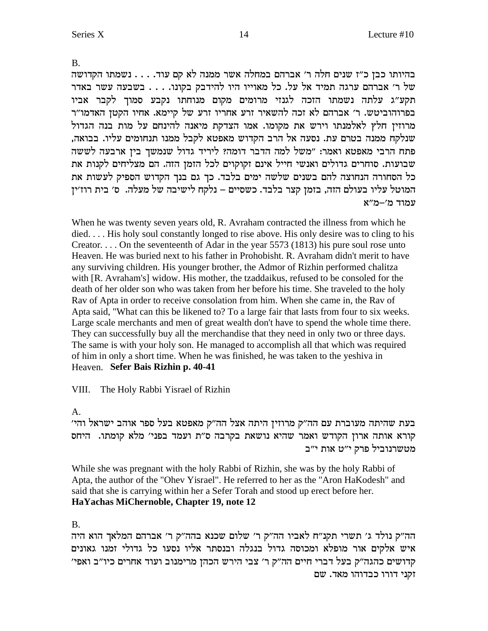B.

בהיותו כבן כ"ז שנים חלה ר' אברהם במחלה אשר ממנה לא קם עוד. . . . נשמתו הקדושה של ר׳ אברהם ערגה תמיד אל על. כל מאוייו היו להידבק בקונו. . . . בשבעה עשר באדר תקע״ג עלתה נשמתו הזכה לגנזי מרומים מקום מנוחתו נקבע סמוך לקבר אביו בפרוהוביטש. ר' אברהם לא זכה להשאיר זרע אחריו זרע של קיימא. אחיו הקטן האדמו"ר מרוזין חלץ לאלמנתו וירש את מקומו. אמו הצדקת מיאנה להינחם על מות בנה הגדול שנלקח ממנה בטרם עת. נסעה אל הרב הקדוש מאפטא לקבל ממנו תנחומים עליו. בבואה, פתח הרבי מאפטא ואמר: "משל למה הדבר דומה? ליריד גדול שנמשך בין ארבעה לששה שבועות. סוחרים גדולים ואנשי חייל אינם זקוקוים לכל הזמן הזה. הם מצליחים לקנות את כל הסחורה הנחוצה להם בשנים שלשה ימים בלבד. כך גם בנך הקדוש הספיק לעשות את המוטל עליו בעולם הזה, בזמן קצר בלבד. כשסיים – נלקח לישיבה של מעלה. ס׳ בית רוז׳ין עמוד מ'-מ"א

When he was twenty seven years old, R. Avraham contracted the illness from which he died. . . . His holy soul constantly longed to rise above. His only desire was to cling to his Creator. . . . On the seventeenth of Adar in the year 5573 (1813) his pure soul rose unto Heaven. He was buried next to his father in Prohobisht. R. Avraham didn't merit to have any surviving children. His younger brother, the Admor of Rizhin performed chalitza with [R. Avraham's] widow. His mother, the tzaddaikus, refused to be consoled for the death of her older son who was taken from her before his time. She traveled to the holy Rav of Apta in order to receive consolation from him. When she came in, the Rav of Apta said, "What can this be likened to? To a large fair that lasts from four to six weeks. Large scale merchants and men of great wealth don't have to spend the whole time there. They can successfully buy all the merchandise that they need in only two or three days. The same is with your holy son. He managed to accomplish all that which was required of him in only a short time. When he was finished, he was taken to the yeshiva in Heaven. **Sefer Bais Rizhin p. 40-41**

### VIII. The Holy Rabbi Yisrael of Rizhin

### A.

בעת שהיתה מעוברת עם הה"ק מרוזין היתה אצל הה"ק מאפטא בעל ספר אוהב ישראל והי' קורא אותה ארון הקודש ואמר שהיא נושאת בקרבה ס"ת ועמד בפני' מלא קומתו. היחס מטשרנוביל פרק י"ט אות י"ב

While she was pregnant with the holy Rabbi of Rizhin, she was by the holy Rabbi of Apta, the author of the "Ohev Yisrael". He referred to her as the "Aron HaKodesh" and said that she is carrying within her a Sefer Torah and stood up erect before her. **HaYachas MiChernoble, Chapter 19, note 12**

### B.

הה״ק נולד ג׳ תשרי תקנ״ח לאביו הה״ק ר׳ שלום שכנא בהה״ק ר׳ אברהם המלאך הוא היה איש אלקים אור מופלא ומכוסה גדול בנגלה ובנסתר אליו נסעו כל גדולי זמנו גאונים 'קדושים כהגה"ק בעל דברי חיים הה"ק ר' צבי הירש הכהן מרימנוב ועוד אחרים כיו"ב ואפי זקני דורו כבדוהו מאד. שם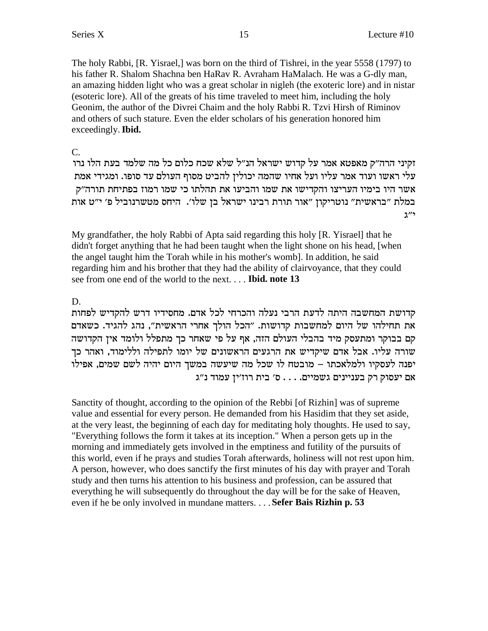The holy Rabbi, [R. Yisrael,] was born on the third of Tishrei, in the year 5558 (1797) to his father R. Shalom Shachna ben HaRav R. Avraham HaMalach. He was a G-dly man, an amazing hidden light who was a great scholar in nigleh (the exoteric lore) and in nistar (esoteric lore). All of the greats of his time traveled to meet him, including the holy Geonim, the author of the Divrei Chaim and the holy Rabbi R. Tzvi Hirsh of Riminov and others of such stature. Even the elder scholars of his generation honored him exceedingly. Ibid.

### $C_{\cdot}$

זקיני הרה״ק מאפטא אמר על קדוש ישראל הנ״ל שלא שכח כלום כל מה שלמד בעת הלו נרו עלי ראשו ועוד אמר עליו ועל אחיו שהמה יכולין להביט מסוף העולם עד סופו. ומגידי אמת אשר היו בימיו העריצו והקדישו את שמו והביעו את תהלתו כי שמו רמוז בפתיחת תורה"ק במלת "בראשית" נוטריקון "אור תורת רבינו ישראל בן שלו'. היחס מטשרנוביל פ' י"ט אות  $\mathbf{v}^{\prime\prime}$ ג

My grandfather, the holy Rabbi of Apta said regarding this holy [R. Yisrael] that he didn't forget anything that he had been taught when the light shone on his head, [when the angel taught him the Torah while in his mother's womb]. In addition, he said regarding him and his brother that they had the ability of clairvoyance, that they could see from one end of the world to the next.... Ibid. note 13

# D.

קדושת המחשבה היתה לדעת הרבי נעלה והכרחי לכל אדם. מחסידיו דרש להקדיש לפחות את תחילהו של היום למחשבות קדושות. ״הכל הולך אחרי הראשית״, נהג להגיד. כשאדם קם בבוקר ומתעסק מיד בהבלי העולם הזה, אף על פי שאחר כך מתפלל ולומד אין הקדושה שורה עליו. אבל אדם שיקדיש את הרגעים הראשונים של יומו לתפילה וללימוד, ואהר כך יפנה לעסקיו ולמלאכתו – מובטח לו שכל מה שיעשה במשך היום יהיה לשם שמים, אפילו אם יעסוק רק בעניינים גשמיים. . . . ס׳ בית רוז׳ין עמוד נ״ג

Sanctity of thought, according to the opinion of the Rebbi [of Rizhin] was of supreme value and essential for every person. He demanded from his Hasidim that they set aside, at the very least, the beginning of each day for meditating holy thoughts. He used to say, "Everything follows the form it takes at its inception." When a person gets up in the morning and immediately gets involved in the emptiness and futility of the pursuits of this world, even if he prays and studies Torah afterwards, holiness will not rest upon him. A person, however, who does sanctify the first minutes of his day with prayer and Torah study and then turns his attention to his business and profession, can be assured that everything he will subsequently do throughout the day will be for the sake of Heaven, even if he be only involved in mundane matters. . . . Sefer Bais Rizhin p. 53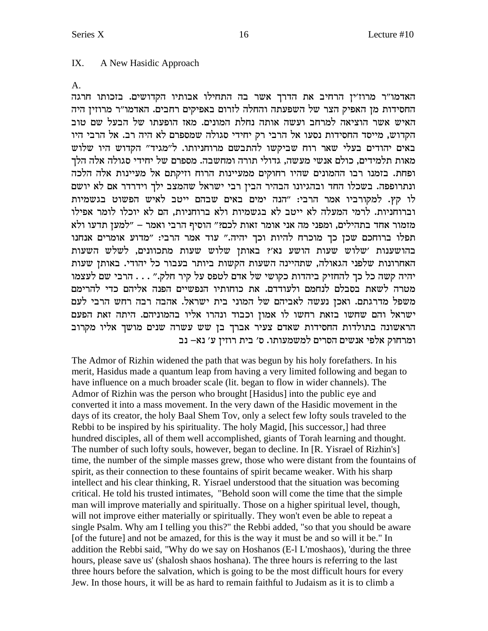#### IX. A New Hasidic Approach

 $A_{1}$ 

האדמו"ר מרוז'ין הרחיב את הדרך אשר בה התחילו אבותיו הקדושים. בזכותו חרגה החסידות מן האפיק הצר של השפעתה והחלה לזרום באפיקים רחבים. האדמו״ר מרוזין היה האיש אשר הוציאה למרחב ועשה אותה נחלת המונים. מאז הופעתו של הבעל שם טוב הקדוש, מייסד החסידות נסעו אל הרבי רק יחידי סגולה שמספרם לא היה רב. אל הרבי היו באים יהודים בעלי שאר רוח שביקשו להתבשם מרוחניותו. ל"מגיד" הקדוש היו שלוש מאות תלמידים, כולם אנשי מעשה, גדולי תורה ומחשבה. מספרם של יחידי סגולה אלה הלך ופחת. בזמנו רבו ההמונים שהיו רחוקים ממעיינות הרוח וזיקתם אל מעיינות אלה הלכה ונתרופפה. בשכלו החד ובהגיונו הבהיר הבין רבי ישראל שהמצב ילך וידרדר אם לא יושם לו קץ. למקורביו אמר הרבי: "הנה ימים באים שבהם ייטב לאיש הפשוט בגשמיות וברוחניות. לרמי המעלה לא ייטב לא בגשמיות ולא ברוחניות, הם לא יוכלו לומר אפילו מזמור אחד בתהילים, ומפני מה אני אומר זאות לכם?" הוסיף הרבי ואמר – "למען תדעו ולא תפלו ברוחכם שכן כך מוכרח להיות וכך יהיה." עוד אמר הרבי: "מדוע אומרים אנחנו בהושענות 'שלוש שעות הושע נא'? באותן שלוש שעות מתכוונים, לשלש השעות האחרונות שלפני הגאולה, שתהיינה השעות הקשות ביותר בעבור כל יהודי. באותן שעות יהיה קשה כל כך להחזיק ביהדות כקושי של אדם לטפס על קיר חלק." . . . הרבי שם לעצמו מטרה לשאת בסבלם לנחמם ולעודדם. את כוחותיו הנפשיים הפנה אליהם כדי להרימם משפל מדרגתם. ואכן נעשה לאביהם של המוני בית ישראל. אהבה רבה רחש הרבי לעם ישראל והם שחשו בזאת רחשו לו אמון וכבוד ונהרו אליו בהמוניהם. היתה זאת הפעם הראשונה בתולדות החסידות שאדם צעיר אברך בן שש עשרה שנים מושך אליו מקרוב ומרחוק אלפי אנשים הסרים למשמעותו. ס׳ בית רוזין ע׳ נא– נב

The Admor of Rizhin widened the path that was begun by his holy forefathers. In his merit, Hasidus made a quantum leap from having a very limited following and began to have influence on a much broader scale (lit. began to flow in wider channels). The Admor of Rizhin was the person who brought [Hasidus] into the public eye and converted it into a mass movement. In the very dawn of the Hasidic movement in the days of its creator, the holy Baal Shem Tov, only a select few lofty souls traveled to the Rebbi to be inspired by his spirituality. The holy Magid, [his successor,] had three hundred disciples, all of them well accomplished, giants of Torah learning and thought. The number of such lofty souls, however, began to decline. In [R. Yisrael of Rizhin's] time, the number of the simple masses grew, those who were distant from the fountains of spirit, as their connection to these fountains of spirit became weaker. With his sharp intellect and his clear thinking, R. Yisrael understood that the situation was becoming critical. He told his trusted intimates, "Behold soon will come the time that the simple man will improve materially and spiritually. Those on a higher spiritual level, though, will not improve either materially or spiritually. They won't even be able to repeat a single Psalm. Why am I telling you this?" the Rebbi added, "so that you should be aware [of the future] and not be amazed, for this is the way it must be and so will it be." In addition the Rebbi said, "Why do we say on Hoshanos (E-1 L'moshaos), 'during the three hours, please save us' (shalosh shaos hoshana). The three hours is referring to the last three hours before the salvation, which is going to be the most difficult hours for every Jew. In those hours, it will be as hard to remain faithful to Judaism as it is to climb a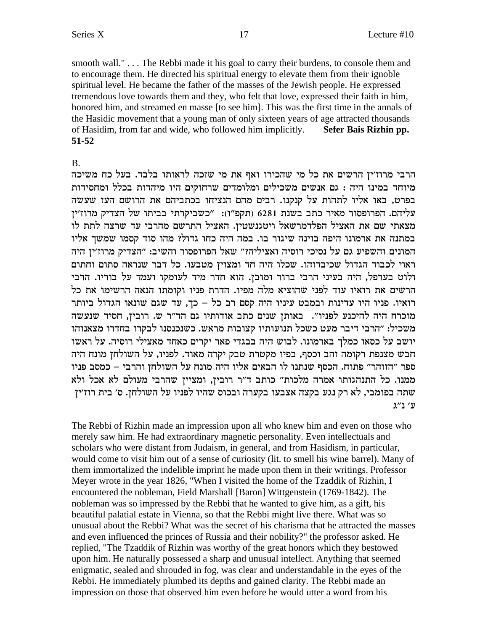smooth wall."... The Rebbi made it his goal to carry their burdens, to console them and to encourage them. He directed his spiritual energy to elevate them from their ignoble spiritual level. He became the father of the masses of the Jewish people. He expressed tremendous love towards them and they, who felt that love, expressed their faith in him, honored him, and streamed en masse [to see him]. This was the first time in the annals of the Hasidic movement that a young man of only sixteen years of age attracted thousands of Hasidim, from far and wide, who followed him implicitly. Sefer Bais Rizhin pp. 51-52

#### $\mathbf{B}$

הרבי מרוז׳ין הרשים את כל מי שהכירו ואף את מי שזכה לראותו בלבד. בעל כח משיכה מיוחד במינו היה : גם אנשים משכילים ומלומדים שרחוקים היו מיהדות בכלל ומחסידות בפרט, באו אליו לתהות על קנקנו. רבים מהם הנציחו בכתביהם את הרושם העז שעשה עליהם. הפרופסור מאיר כתב בשנת 6281 (תקפ"ו): "כשביקרתי בביתו של הצדיק מרוז'ין מצאתי שם את האציל הפלדמרשאל ויטגנשטין. האציל התרשם מהרבי עד שרצה לתת לו במתנה את ארמונו היפה בוינה שיגור בו. במה היה כחו גדול? מהו סוד קסמו שמשך אליו המונים והשפיע גם על נסיכי רוסיה ואציליה?" שאל הפרופסור והשיב: "הצדיק מרוז'ין היה ראוי לכבוד הגדול שכיבדוהו. שכלו היה חד ומצוין מטבעו. כל דבר שנראה סתום וחתום ולוט בערפל, היה בעיני הרבי ברור ומובן. הוא חדר מיד לעומקו ועמד על בוריו. הרבי הרשים את רואיו עוד לפני שהוציא מלה מפיו. הדרת פניו וקומתו הנאה הרשימו את כל רואיו. פניו היו עדינות ובמבט עיניו היה קסם רב כל – כך, עד שגם שונאו הגדול ביותר מוכרח היה להיכנע לפניו". באותן שנים כתב אודותיו גם הד"ר ש. רובין, חסיד שנעשה משכיל: "הרבי דיבר מעט כשכל תנועותיו קצובות מראש. כשנכנסנו לבקרו בחדרו מצאנוהו יושב על כסאו כמלך בארמונו. לבוש היה בבגדי פאר יקרים כאחד מאצילי רוסיה. על ראשו חבש מצנפת רקומה זהב וכסף, בפיו מקטרת טבק יקרה מאוד. לפניו, על השולחן מונח היה ספר "הזוהר" פתוח. הכסף שנתנו לו הבאים אליו היה מונח על השולחן והרבי – כמסב פניו ממנו. כל התנהגותו אמרה מלכות" כותב ד"ר רובין, ומציין שהרבי מעולם לא אכל ולא שתה בפומבי, לא רק נגע בקצה אצבעו בקערה ובכוס שהיו לפניו על השולחן. ס׳ בית רוז׳ין ע׳ נ״ג

The Rebbi of Rizhin made an impression upon all who knew him and even on those who merely saw him. He had extraordinary magnetic personality. Even intellectuals and scholars who were distant from Judaism, in general, and from Hasidism, in particular, would come to visit him out of a sense of curiosity (lit. to smell his wine barrel). Many of them immortalized the indelible imprint he made upon them in their writings. Professor Meyer wrote in the year 1826, "When I visited the home of the Tzaddik of Rizhin, I encountered the nobleman, Field Marshall [Baron] Wittgenstein (1769-1842). The nobleman was so impressed by the Rebbi that he wanted to give him, as a gift, his beautiful palatial estate in Vienna, so that the Rebbi might live there. What was so unusual about the Rebbi? What was the secret of his charisma that he attracted the masses and even influenced the princes of Russia and their nobility?" the professor asked. He replied, "The Tzaddik of Rizhin was worthy of the great honors which they bestowed upon him. He naturally possessed a sharp and unusual intellect. Anything that seemed enigmatic, sealed and shrouded in fog, was clear and understandable in the eyes of the Rebbi. He immediately plumbed its depths and gained clarity. The Rebbi made an impression on those that observed him even before he would utter a word from his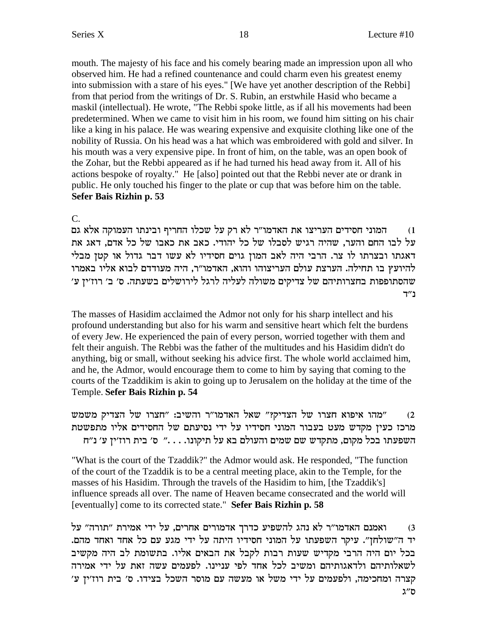mouth. The majesty of his face and his comely bearing made an impression upon all who observed him. He had a refined countenance and could charm even his greatest enemy into submission with a stare of his eyes." [We have yet another description of the Rebbi] from that period from the writings of Dr. S. Rubin, an erstwhile Hasid who became a maskil (intellectual). He wrote, "The Rebbi spoke little, as if all his movements had been predetermined. When we came to visit him in his room, we found him sitting on his chair like a king in his palace. He was wearing expensive and exquisite clothing like one of the nobility of Russia. On his head was a hat which was embroidered with gold and silver. In his mouth was a very expensive pipe. In front of him, on the table, was an open book of the Zohar, but the Rebbi appeared as if he had turned his head away from it. All of his actions bespoke of royalty." He [also] pointed out that the Rebbi never ate or drank in public. He only touched his finger to the plate or cup that was before him on the table. Sefer Bais Rizhin p. 53

C.

המוני חסידים העריצו את האדמו"ר לא רק על שכלו החריף ובינתו העמוקה אלא גם  $(1)$ על לבו החם והער, שהיה רגיש לסבלו של כל יהודי. כאב את כאבו של כל אדם, דאג את דאגתו ובצרתו לו צר. הרבי היה לאב המון גוים חסידיו לא עשו דבר גדול או קטן מבלי להיועץ בו תחילה. הערצת עולם העריצוהו והוא, האדמו״ר, היה מעודדם לבוא אליו באמרו שהסתופפות בחצרותיהם של צדיקים משולה לעליה לרגל לירושלים בשעתה. ס׳ ב׳ רוז׳ין ע׳ ב״ד

The masses of Hasidim acclaimed the Admor not only for his sharp intellect and his profound understanding but also for his warm and sensitive heart which felt the burdens of every Jew. He experienced the pain of every person, worried together with them and felt their anguish. The Rebbi was the father of the multitudes and his Hasidim didn't do anything, big or small, without seeking his advice first. The whole world acclaimed him, and he, the Admor, would encourage them to come to him by saying that coming to the courts of the Tzaddikim is akin to going up to Jerusalem on the holiday at the time of the Temple. Sefer Bais Rizhin p. 54

"מהו איפוא חצרו של הצדיק?" שאל האדמו"ר והשיב: "חצרו של הצדיק משמש  $(2)$ מרכז כעין מקדש מעט בעבור המוני חסידיו על ידי נסיעתם של החסידים אליו מתפשטת השפעתו בכל מקום, מתקדש שם שמים והעולם בא על תיקונו. . . ." ס' בית רוז'ין ע' נ"ח

"What is the court of the Tzaddik?" the Admor would ask. He responded, "The function" of the court of the Tzaddik is to be a central meeting place, akin to the Temple, for the masses of his Hasidim. Through the travels of the Hasidim to him, [the Tzaddik's] influence spreads all over. The name of Heaven became consecrated and the world will [eventually] come to its corrected state." Sefer Bais Rizhin p. 58

ואמנם האדמו״ר לא נהג להשפיע כדרך אדמורים אחרים, על ידי אמירת ״תורה״ על  $(3)$ יד ה״שולחז״. עיקר השפעתו על המוני חסידיו היתה על ידי מגע עם כל אחד ואחד מהם. בכל יום היה הרבי מקדיש שעות רבות לקבל את הבאים אליו. בתשומת לב היה מקשיב לשאלותיהם ולדאגותיהם ומשיב לכל אחד לפי עניינו. לפעמים עשה זאת על ידי אמירה קצרה ומחכימה, ולפעמים על ידי משל או מעשה עם מוסר השכל בצידו. ס׳ בית רוז׳ין ע׳ ס״ג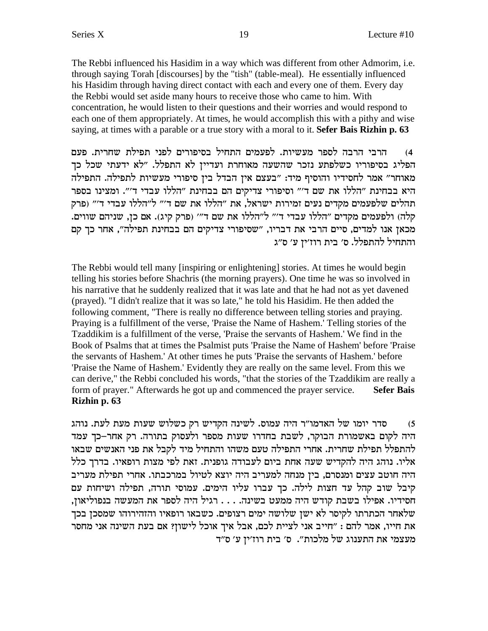The Rebbi influenced his Hasidim in a way which was different from other Admorim, i.e. through saying Torah [discourses] by the "tish" (table-meal). He essentially influenced his Hasidim through having direct contact with each and every one of them. Every day the Rebbi would set aside many hours to receive those who came to him. With concentration, he would listen to their questions and their worries and would respond to each one of them appropriately. At times, he would accomplish this with a pithy and wise saying, at times with a parable or a true story with a moral to it. **Sefer Bais Rizhin p. 63**

4) הרבי הרבה לספר מעשיות. לפעמים התחיל בסיפורים לפני תפילת שחרית. פעם הפליג בסיפוריו כשלפתע נזכר שהשעה מאוחרת ועדיין לא התפלל. "לא ידעתי שכל כך מאוחר" אמר לחסידיו והוסיף מיד: "בעצם אין הבדל בין סיפורי מעשיות לתפילה. התפילה היא בבחינת "הללו את שם ד'" וסיפורי צדיקים הם בבחינת "הללו עבדי ד'". ומצינו בספר תהלים שלפעמים מקדים נעים זמירות ישראל, את "הללו את שם ד'" ל"הללו עבדי ד'" (פרק קלה) ולפעמים מקדים "הללו עבדי ד'" ל"הללו את שם ד'" (פרק קיג). אם כן, שניהם שווים. מכאן אנו למדים, סיים הרבי את דבריו, "שסיפורי צדיקים הם בבחינת תפילה", אחר כך קם והתחיל להתפלל. ס׳ בית רוז׳ין ע׳ ס״ג

The Rebbi would tell many [inspiring or enlightening] stories. At times he would begin telling his stories before Shachris (the morning prayers). One time he was so involved in his narrative that he suddenly realized that it was late and that he had not as yet davened (prayed). "I didn't realize that it was so late," he told his Hasidim. He then added the following comment, "There is really no difference between telling stories and praying. Praying is a fulfillment of the verse, 'Praise the Name of Hashem.' Telling stories of the Tzaddikim is a fulfillment of the verse, 'Praise the servants of Hashem.' We find in the Book of Psalms that at times the Psalmist puts 'Praise the Name of Hashem' before 'Praise the servants of Hashem.' At other times he puts 'Praise the servants of Hashem.' before 'Praise the Name of Hashem.' Evidently they are really on the same level. From this we can derive," the Rebbi concluded his words, "that the stories of the Tzaddikim are really a form of prayer." Afterwards he got up and commenced the prayer service. **Sefer Bais Rizhin p. 63**

סדר יומו של האדמו"ר היה עמוס. לשינה הקדיש רק כשלוש שעות מעת לעת. נוהג  $(5$ היה לקום באשמורת הבוקר, לשבת בחדרו שעות מספר ולעסוק בתורה. רק אחר–כך עמד להתפלל תפילת שחרית. אחרי התפילה טעם משהו והתחיל מיד לקבל את פני האנשים שבאו אליו. נוהג היה להקדיש שעה אחת ביום לעבודה גופנית. זאת לפי מצות רופאיו. בדרך כלל היה חוטב עצים ומנסרם, בין מנחה למעריב היה יוצא לטיול במרכבתו. אחרי תפילת מעריב קיבל שוב קהל עד חצות לילה. כך עברו עליו הימים. עמוסי תורה, תפילה ושיחות עם , חסידיו. אפילו בשבת קודש היה ממעט בשינה. . . . רגיל היה לספר את המעשה בנפוליאון שלאחר הכתרתו לקיסר לא ישן שלושה ימים רצופים. כשבאו רופאיו והזהירוהו שמסכן בכך את חייו, אמר להם : "חייב אני לציית לכם, אבל איך אוכל לישון? אם בעת השינה אני מחסר מעצמי את התענוג של מלכות". ס' בית רוז'ין ע' ס"ד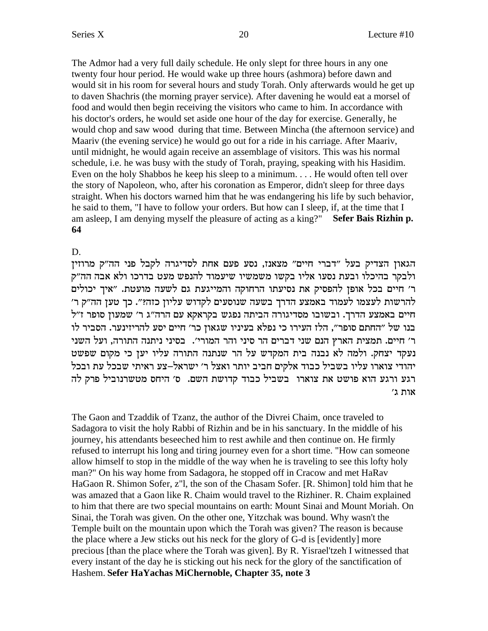The Admor had a very full daily schedule. He only slept for three hours in any one twenty four hour period. He would wake up three hours (ashmora) before dawn and would sit in his room for several hours and study Torah. Only afterwards would he get up to daven Shachris (the morning prayer service). After davening he would eat a morsel of food and would then begin receiving the visitors who came to him. In accordance with his doctor's orders, he would set aside one hour of the day for exercise. Generally, he would chop and saw wood during that time. Between Mincha (the afternoon service) and Maariv (the evening service) he would go out for a ride in his carriage. After Maariv, until midnight, he would again receive an assemblage of visitors. This was his normal schedule, i.e. he was busy with the study of Torah, praying, speaking with his Hasidim. Even on the holy Shabbos he keep his sleep to a minimum.... He would often tell over the story of Napoleon, who, after his coronation as Emperor, didn't sleep for three days straight. When his doctors warned him that he was endangering his life by such behavior, he said to them, "I have to follow your orders. But how can I sleep, if, at the time that I am asleep, I am denying myself the pleasure of acting as a king?" Sefer Bais Rizhin p. 64

#### D.

הגאון הצדיק בעל "דברי חיים" מצאנז, נסע פעם אחת לסדיגרה לקבל פני הה"ק מרוזין ולבקר בהיכלו ובעת נסעו אליו בקשו משמשיו שיעמוד להנפש מעט בדרכו ולא אבה הה"ק ר' חיים בכל אופן להפסיק את נסיעתו הרחוקה והמייגעת גם לשעה מועטת. "איך יכולים להרשות לעצמו לעמוד באמצע הדרך בשעה שנוסעים לקדוש עליון כזה?". כך טען הה"ק ר' חיים באמצע הדרך. ובשובו מסדיגורה הביתה נפגש בקראקא עם הרה"ג ר' שמעון סופר ז"ל בנו של "החתם סופר", הלז העירו כי נפלא בעיניו שגאון כר' חיים יסע להריזינער. הסביר לו ר' חיים. תמצית הארץ הנם שני דברים הר סיני והר המורי'. בסיני ניתנה התורה, ועל השני נעקד יצחק. ולמה לא נבנה בית המקדש על הר שנתנה התורה עליו יען כי מקום שפשט יהודי צוארו עליו בשביל כבוד אלקים חביב יותר ואצל ר׳ ישראל–צע ראיתי שבכל עת ובכל רגע ורגע הוא פושט את צוארו בשביל כבוד קדושת השם. ס׳ היחס מטשרנוביל פרק לה אות ג'

The Gaon and Tzaddik of Tzanz, the author of the Divrei Chaim, once traveled to Sadagora to visit the holy Rabbi of Rizhin and be in his sanctuary. In the middle of his journey, his attendants beseeched him to rest awhile and then continue on. He firmly refused to interrupt his long and tiring journey even for a short time. "How can someone" allow himself to stop in the middle of the way when he is traveling to see this lofty holy man?" On his way home from Sadagora, he stopped off in Cracow and met HaRav HaGaon R. Shimon Sofer, z"l, the son of the Chasam Sofer. [R. Shimon] told him that he was amazed that a Gaon like R. Chaim would travel to the Rizhiner. R. Chaim explained to him that there are two special mountains on earth: Mount Sinai and Mount Moriah. On Sinai, the Torah was given. On the other one, Yitzchak was bound. Why wasn't the Temple built on the mountain upon which the Torah was given? The reason is because the place where a Jew sticks out his neck for the glory of G-d is [evidently] more precious [than the place where the Torah was given]. By R. Yisrael'tzeh I witnessed that every instant of the day he is sticking out his neck for the glory of the sanctification of Hashem. Sefer HaYachas MiChernoble, Chapter 35, note 3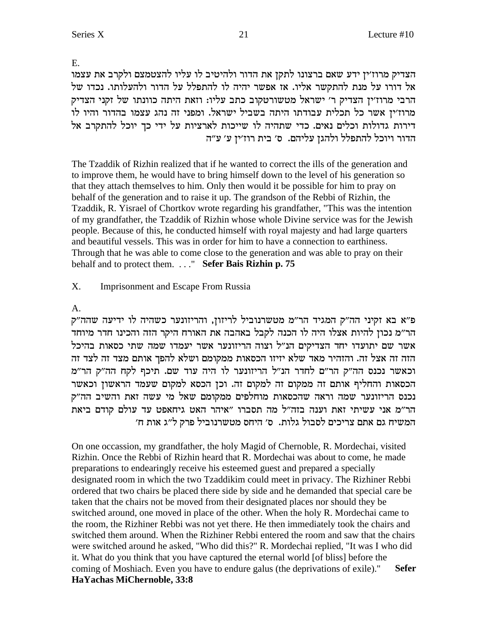E.

הצדיק מרוז׳ין ידע שאם ברצונו לתקן את הדור ולהיטיב לו עליו להצטמצם ולקרב את עצמו אל דורו על מנת להתקשר אליו. אז אפשר יהיה לו להתפלל על הדור ולהעלותו. נכדו של הרבי מרוז׳ין הצדיק ר׳ ישראל מטשורטקוב כתב עליו: וזאת היתה כוונתו של זקני הצדיק מרוז׳ין אשר כל תכלית עבודתו היתה בשביל ישראל. ומפני זה נהג עצמו בהדור והיו לו דירות גדולות וכלים נאים. כדי שתהיה לו שייכות לארציות על ידי כך יוכל להתקרב אל הדור ויוכל להתפלל ולהגן עליהם. ס׳ בית רוז׳ין ע׳ ע״ה

The Tzaddik of Rizhin realized that if he wanted to correct the ills of the generation and to improve them, he would have to bring himself down to the level of his generation so that they attach themselves to him. Only then would it be possible for him to pray on behalf of the generation and to raise it up. The grandson of the Rebbi of Rizhin, the Tzaddik, R. Yisrael of Chortkov wrote regarding his grandfather, "This was the intention of my grandfather, the Tzaddik of Rizhin whose whole Divine service was for the Jewish people. Because of this, he conducted himself with royal majesty and had large quarters and beautiful vessels. This was in order for him to have a connection to earthiness. Through that he was able to come close to the generation and was able to pray on their behalf and to protect them. . . . " Sefer Bais Rizhin p. 75

#### $X_{\cdot}$ **Imprisonment and Escape From Russia**

# $A_{\cdot}$

פ״א בא זקיני הה״ק המגיד הר״מ מטשרנוביל לריזון, והריזונער כשהיה לו ידיעה שהה״ק הר״מ נכון להיות אצלו היה לו הכנה לקבל באהבה את האורח היקר הזה והכינו חדר מיוחד אשר שם יתועדו יחד הצדיקים הנ"ל וצוה הריזונער אשר יעמדו שמה שתי כסאות בהיכל הזה זה אצל זה. והזהיר מאד שלא יזיזו הכסאות ממקומם ושלא להפך אותם מצד זה לצד זה וכאשר נכנס הה"ק הר"ם לחדר הנ"ל הריזונער לו היה עוד שם. תיכף לקח הה"ק הר"מ הכסאות והחליף אותם זה ממקום זה למקום זה. וכן הכסא למקום שעמד הראשון וכאשר נכנס הריזונער שמה וראה שהכסאות מוחלפים ממקומם שאל מי עשה זאת והשיב הה"ק הר"מ אני עשיתי זאת וענה בזה"ל מה תסברו "איהר האט גיחאפט עד עולם קודם ביאת המשיח גם אתם צריכים לסבול גלות. ס׳ היחס מטשרנוביל פרק ל״ג אות ח׳

On one occassion, my grandfather, the holy Magid of Chernoble, R. Mordechai, visited Rizhin. Once the Rebbi of Rizhin heard that R. Mordechai was about to come, he made preparations to endearingly receive his esteemed guest and prepared a specially designated room in which the two Tzaddikim could meet in privacy. The Rizhiner Rebbi ordered that two chairs be placed there side by side and he demanded that special care be taken that the chairs not be moved from their designated places nor should they be switched around, one moved in place of the other. When the holy R. Mordechai came to the room, the Rizhiner Rebbi was not yet there. He then immediately took the chairs and switched them around. When the Rizhiner Rebbi entered the room and saw that the chairs were switched around he asked, "Who did this?" R. Mordechai replied, "It was I who did it. What do you think that you have captured the eternal world [of bliss] before the coming of Moshiach. Even you have to endure galus (the deprivations of exile)." **Sefer** HaYachas MiChernoble, 33:8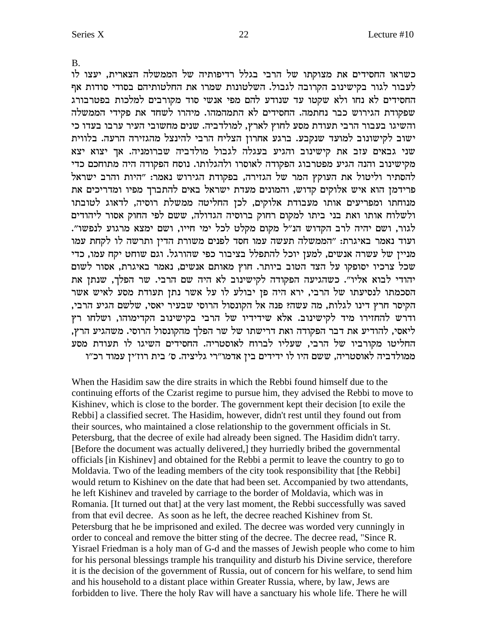**B.** 

כשראו החסידים את מצוקתו של הרבי בגלל רדיפותיה של הממשלה הצארית, יעצו לו לעבור לגור בקישינוב הקרובה לגבול. השלטונות שמרו את החלטותיהם בסודי סודות אף החסידים לא נחו ולא שקטו עד שנודע להם מפי אנשי סוד מקורבים למלכות בפטרבורג שפקודת הגירוש כבר נחתמה. החסידים לא התמהמהו. מיהרו לשחד את פקידי הממשלה והשיגו בעבור הרבי תעודת מסע לחוץ לארץ, למולדביה. שנים מחשובי העיר ערבו בעדו כי ישוב לקישונוב למועד שנקבע. ברגע אחרון הצליח הרבי להינצל מהגזירה הרעה. בלווית שני גבאים עזב את קישינוב והגיע בעגלה לגבול מולדביה שברומניה. אך יצוא יצא מקישינוב והנה הגיע מפטרבוג הפקודה לאוסרו ולהגלותו. נוסח הפקודה היה מתוחכם כדי להסתיר וליטול את העוקץ המר של הגזירה, בפקודת הגירוש נאמר: "היות והרב ישראל פרידמן הוא איש אלוקים קדוש, והמונים מעדת ישראל באים להתברך מפיו ומדריכים את מנוחתו ומפריעים אותו מעבודת אלוקים, לכן החליטה ממשלת רוסיה, לדאוג לטובתו ולשלוח אותו ואת בני ביתו למקום רחוק ברוסיה הגדולה, ששם לפי החוק אסור ליהודים לגור, ושם יהיה לרב הקדוש הנ"ל מקום מקלט לכל ימי חייו, ושם ימצא מרגוע לנפשו". ועוד נאמר באיגרת: "הממשלה תעשה עמו חסד לפנים משורת הדין ותרשה לו לקחת עמו מניין של עשרה אנשים, למען יוכל להתפלל בציבור כפי שהורגל. וגם שוחט יקח עמו, כדי שכל צרכיו יסופקו על הצד הטוב ביותר. חוץ מאותם אנשים, נאמר באיגרת, אסור לשום יהודי לבוא אליו". כשהגיעה הפקודה לקישינוב לא היה שם הרבי. שר הפלך, שנתן את הסכמתו לנסיעתו של הרבי, ירא היה פן יבולע לו על אשר נתן תעודת מסע לאיש אשר הקיסר חרץ דינו לגלות, מה עשה? פנה אל הקונסול הרוסי שבעיר יאסי, שלשם הגיע הרבי, ודרש להחזירו מיד לקישינוב. אלא שידידיו של הרבי בקישינוב הקדימוהו, ושלחו רץ ליאסי, להודיע את דבר הפקודה ואת דרישתו של שר הפלך מהקונסול הרוסי. משהגיע הרץ, החליטו מקורביו של הרבי, שעליו לברוח לאוסטריה. החסידים השיגו לו תעודת מסע ממולדביה לאוסטריה, ששם היו לו ידידים בין אדמו"רי גליציה. ס' בית רוז'ין עמוד רכ"ו

When the Hasidim saw the dire straits in which the Rebbi found himself due to the continuing efforts of the Czarist regime to pursue him, they advised the Rebbi to move to Kishinev, which is close to the border. The government kept their decision [to exile the Rebbi] a classified secret. The Hasidim, however, didn't rest until they found out from their sources, who maintained a close relationship to the government officials in St. Petersburg, that the decree of exile had already been signed. The Hasidim didn't tarry. [Before the document was actually delivered,] they hurriedly bribed the governmental officials [in Kishinev] and obtained for the Rebbi a permit to leave the country to go to Moldavia. Two of the leading members of the city took responsibility that [the Rebbi] would return to Kishinev on the date that had been set. Accompanied by two attendants, he left Kishinev and traveled by carriage to the border of Moldavia, which was in Romania. IIt turned out that] at the very last moment, the Rebbi successfully was saved from that evil decree. As soon as he left, the decree reached Kishinev from St. Petersburg that he be imprisoned and exiled. The decree was worded very cunningly in order to conceal and remove the bitter sting of the decree. The decree read, "Since R. Yisrael Friedman is a holy man of G-d and the masses of Jewish people who come to him for his personal blessings trample his tranquility and disturb his Divine service, therefore it is the decision of the government of Russia, out of concern for his welfare, to send him and his household to a distant place within Greater Russia, where, by law, Jews are forbidden to live. There the holy Ray will have a sanctuary his whole life. There he will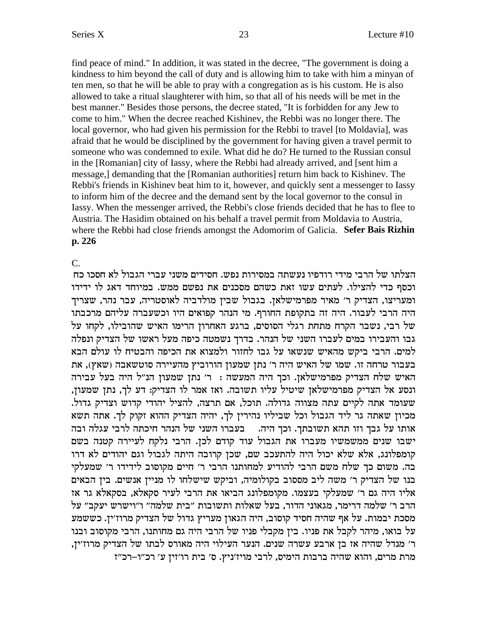find peace of mind." In addition, it was stated in the decree, "The government is doing a kindness to him beyond the call of duty and is allowing him to take with him a minyan of ten men, so that he will be able to pray with a congregation as is his custom. He is also allowed to take a ritual slaughterer with him, so that all of his needs will be met in the best manner." Besides those persons, the decree stated, "It is forbidden for any Jew to come to him." When the decree reached Kishinev, the Rebbi was no longer there. The local governor, who had given his permission for the Rebbi to travel [to Moldavia], was afraid that he would be disciplined by the government for having given a travel permit to someone who was condemned to exile. What did he do? He turned to the Russian consul in the [Romanian] city of Iassy, where the Rebbi had already arrived, and [sent him a message,] demanding that the [Romanian authorities] return him back to Kishinev. The Rebbi's friends in Kishinev beat him to it, however, and quickly sent a messenger to Iassy to inform him of the decree and the demand sent by the local governor to the consul in Iassy. When the messenger arrived, the Rebbi's close friends decided that he has to flee to Austria. The Hasidim obtained on his behalf a travel permit from Moldavia to Austria, where the Rebbi had close friends amongst the Adomorim of Galicia. Sefer Bais Rizhin p. 226

#### $C_{\cdot}$

הצלתו של הרבי מידי רודפיו נעשתה במסירות נפש. חסידים משני עברי הגבול לא חסכו כח וכסף כדי להצילו. לעתים עשו זאת כשהם מסכנים את נפשם ממש. במיוחד דאג לו ידידו ומעריצו, הצדיק ר' מאיר מפרמישלאן. בגבול שבין מולדביה לאוסטריה, עבר נהר, שצריך היה הרבי לעבור. היה זה בתקופת החורף. מי הנהר קפואים היו וכשעברה עליהם מרכבתו של רבי, נשבר הקרח מתחת רגלי הסוסים, ברגע האחרון הרימו האיש שהובילו, לקחו על גבו והעבירו במים לעברו השני של הנהר. בדרך נשמטה כיפה מעל ראשו של הצדיק ונפלה למים. הרבי ביקש מהאיש שנשאו על גבו לחזור ולמצוא את הכיפה והבטיח לו עולם הבא בעבור טרחה זו. שמו של האיש היה ר' נתן שמעון הורוביץ מהעיירה סוטשאבה (שאץ), את האיש שלח הצדיק מפרמישלאן. וכך היה המעשה : ר' נתן שמעון הנ"ל היה בעל עבירה ונסע אל הצדיק מפרמישלאן שיטיל עליו תשובה. ואז אמר לו הצדיק: דע לך, נתן שמעון, שעומד אתה לקיים עתה מצווה גדולה. תוכל, אם תרצה, להציל יהודי קדוש וצדיק גדול. מכיון שאתה גר ליד הגבול וכל שביליו נהירין לך, יהיה הצדיק ההוא זקוק לך. אתה תשא אותו על גבך וזו תהא תשובתך. וכך היה. בעברו השני של הנהר חיכתה לרבי עגלה ובה ישבו שנים ממשמשיו מעברו את הגבול עוד קודם לכן. הרבי נלקח לעיירה קטנה בשם קומפלונג, אלא שלא יכול היה להתעכב שם, שכן קרובה היתה לגבול וגם יהודים לא דרו בה. משום כך שלח משם הרבי להודיע למחותנו הרבי ר' חיים מקוסוב לידידו ר' שמעלקי בנו של הצדיק ר' משה ליב מססוב בקולומיה, וביקש שישלחו לו מניין אנשים. בין הבאים אליו היה גם ר' שמעלקי בעצמו. מקומפלונג הביאו את הרבי לעיר סקאלא, בסקאלא גר אז הרב ר׳ שלמה דרימר, מגאוני הדור, בעל שאלות ותשובות "בית שלמה" ו"וישרש יעקב" על מסכת יבמות. על אף שהיה חסיד קוסוב, היה הגאון מעריץ גדול של הצדיק מרוז׳ין. כששמע על בואו, מיהר לקבל את פניו. בין מקבלי פניו של הרבי היה גם מחותנו, הרבי מקוסוב ובנו ר׳ מנדל שהיה אז בן ארבע עשרה שנים. הנער העילוי היה מאורס לבתו של הצדיק מרוז׳ין, מרת מרים, והוא שהיה ברבות הימיס, לרבי מויז׳ניץ. ס׳ בית רו׳זיז ע׳ רכ״ו–רכ״ז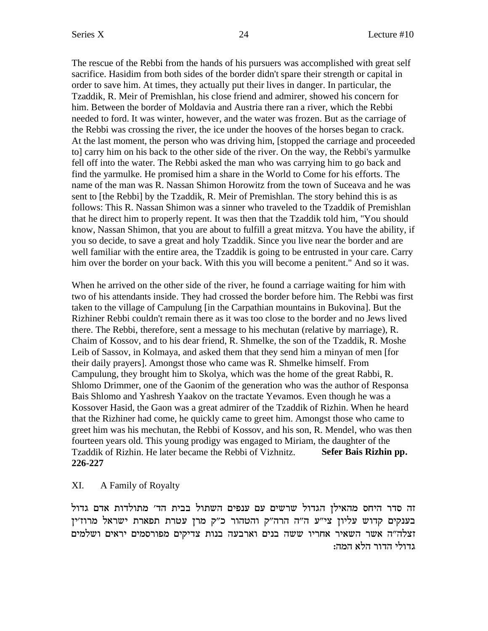The rescue of the Rebbi from the hands of his pursuers was accomplished with great self sacrifice. Hasidim from both sides of the border didn't spare their strength or capital in order to save him. At times, they actually put their lives in danger. In particular, the Tzaddik, R. Meir of Premishlan, his close friend and admirer, showed his concern for him. Between the border of Moldavia and Austria there ran a river, which the Rebbi needed to ford. It was winter, however, and the water was frozen. But as the carriage of the Rebbi was crossing the river, the ice under the hooves of the horses began to crack. At the last moment, the person who was driving him, [stopped the carriage and proceeded to] carry him on his back to the other side of the river. On the way, the Rebbi's yarmulke fell off into the water. The Rebbi asked the man who was carrying him to go back and find the yarmulke. He promised him a share in the World to Come for his efforts. The name of the man was R. Nassan Shimon Horowitz from the town of Suceava and he was sent to [the Rebbi] by the Tzaddik, R. Meir of Premishlan. The story behind this is as follows: This R. Nassan Shimon was a sinner who traveled to the Tzaddik of Premishlan that he direct him to properly repent. It was then that the Tzaddik told him, "You should know, Nassan Shimon, that you are about to fulfill a great mitzva. You have the ability, if you so decide, to save a great and holy Tzaddik. Since you live near the border and are well familiar with the entire area, the Tzaddik is going to be entrusted in your care. Carry him over the border on your back. With this you will become a penitent." And so it was.

When he arrived on the other side of the river, he found a carriage waiting for him with two of his attendants inside. They had crossed the border before him. The Rebbi was first taken to the village of Campulung [in the Carpathian mountains in Bukovina]. But the Rizhiner Rebbi couldn't remain there as it was too close to the border and no Jews lived there. The Rebbi, therefore, sent a message to his mechutan (relative by marriage), R. Chaim of Kossov, and to his dear friend, R. Shmelke, the son of the Tzaddik, R. Moshe Leib of Sassov, in Kolmaya, and asked them that they send him a minyan of men [for their daily prayers]. Amongst those who came was R. Shmelke himself. From Campulung, they brought him to Skolya, which was the home of the great Rabbi, R. Shlomo Drimmer, one of the Gaonim of the generation who was the author of Responsa Bais Shlomo and Yashresh Yaakov on the tractate Yevamos. Even though he was a Kossover Hasid, the Gaon was a great admirer of the Tzaddik of Rizhin. When he heard that the Rizhiner had come, he quickly came to greet him. Amongst those who came to greet him was his mechutan, the Rebbi of Kossov, and his son, R. Mendel, who was then fourteen years old. This young prodigy was engaged to Miriam, the daughter of the Tzaddik of Rizhin. He later became the Rebbi of Vizhnitz. **Sefer Bais Rizhin pp. 226-227**

### XI. A Family of Royalty

וה סדר היחס מהאילן הגדול שרשים עם ענפים השתול בבית הד׳ מתולדות אדם גדול בענקים קדוש עליון צי"ע ה"ה הרה"ק והטהור כ"ק מרן עטרת תפארת ישראל מרוז'ין זצלה"ה אשר השאיר אחריו ששה בנים וארבעה בנות צדיקים מפורסמים יראים ושלמים גדולי הדור הלא המה: